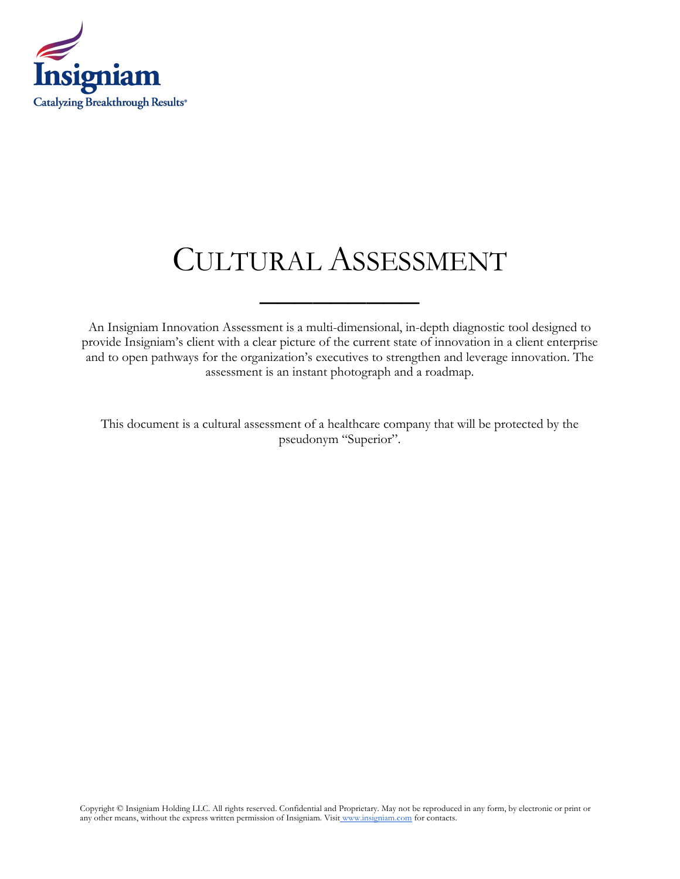

# CULTURAL ASSESSMENT

–––––––––

An Insigniam Innovation Assessment is a multi-dimensional, in-depth diagnostic tool designed to provide Insigniam's client with a clear picture of the current state of innovation in a client enterprise and to open pathways for the organization's executives to strengthen and leverage innovation. The assessment is an instant photograph and a roadmap.

This document is a cultural assessment of a healthcare company that will be protected by the pseudonym "Superior".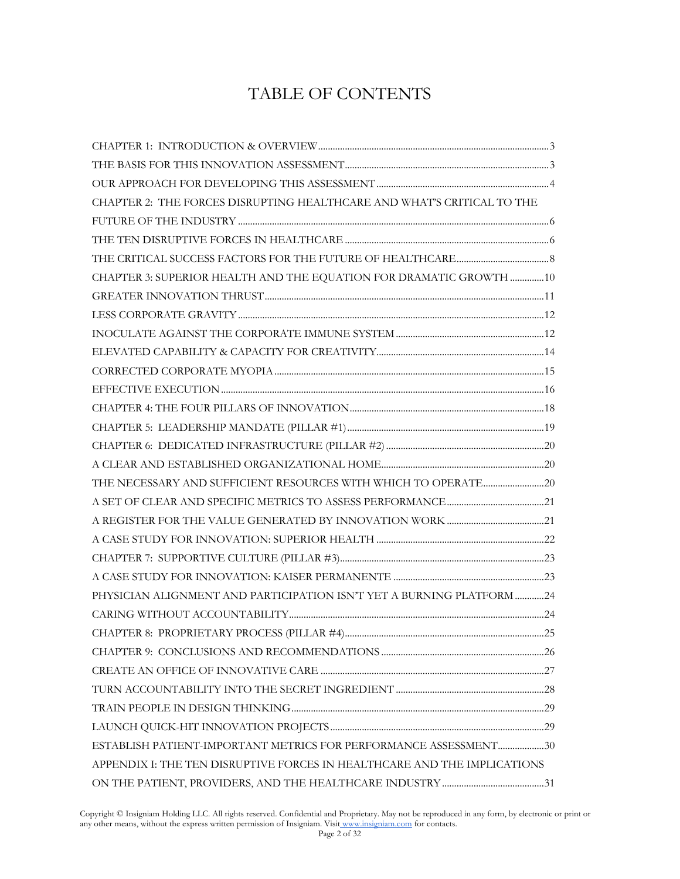# TABLE OF CONTENTS

| CHAPTER 2: THE FORCES DISRUPTING HEALTHCARE AND WHAT'S CRITICAL TO THE   |  |
|--------------------------------------------------------------------------|--|
|                                                                          |  |
|                                                                          |  |
|                                                                          |  |
| CHAPTER 3: SUPERIOR HEALTH AND THE EQUATION FOR DRAMATIC GROWTH 10       |  |
|                                                                          |  |
|                                                                          |  |
|                                                                          |  |
|                                                                          |  |
|                                                                          |  |
|                                                                          |  |
|                                                                          |  |
|                                                                          |  |
|                                                                          |  |
|                                                                          |  |
|                                                                          |  |
|                                                                          |  |
|                                                                          |  |
|                                                                          |  |
|                                                                          |  |
|                                                                          |  |
| PHYSICIAN ALIGNMENT AND PARTICIPATION ISN'T YET A BURNING PLATFORM 24    |  |
|                                                                          |  |
|                                                                          |  |
|                                                                          |  |
|                                                                          |  |
|                                                                          |  |
|                                                                          |  |
|                                                                          |  |
| ESTABLISH PATIENT-IMPORTANT METRICS FOR PERFORMANCE ASSESSMENT30         |  |
| APPENDIX I: THE TEN DISRUPTIVE FORCES IN HEALTHCARE AND THE IMPLICATIONS |  |
|                                                                          |  |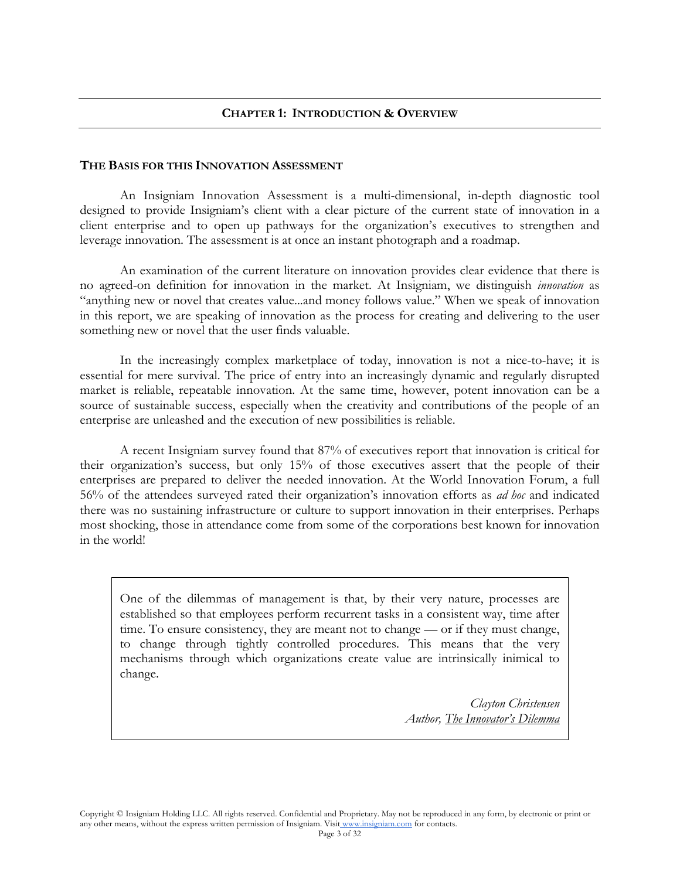#### **THE BASIS FOR THIS INNOVATION ASSESSMENT**

An Insigniam Innovation Assessment is a multi-dimensional, in-depth diagnostic tool designed to provide Insigniam's client with a clear picture of the current state of innovation in a client enterprise and to open up pathways for the organization's executives to strengthen and leverage innovation. The assessment is at once an instant photograph and a roadmap.

An examination of the current literature on innovation provides clear evidence that there is no agreed-on definition for innovation in the market. At Insigniam, we distinguish *innovation* as "anything new or novel that creates value...and money follows value." When we speak of innovation in this report, we are speaking of innovation as the process for creating and delivering to the user something new or novel that the user finds valuable.

In the increasingly complex marketplace of today, innovation is not a nice-to-have; it is essential for mere survival. The price of entry into an increasingly dynamic and regularly disrupted market is reliable, repeatable innovation. At the same time, however, potent innovation can be a source of sustainable success, especially when the creativity and contributions of the people of an enterprise are unleashed and the execution of new possibilities is reliable.

A recent Insigniam survey found that 87% of executives report that innovation is critical for their organization's success, but only 15% of those executives assert that the people of their enterprises are prepared to deliver the needed innovation. At the World Innovation Forum, a full 56% of the attendees surveyed rated their organization's innovation efforts as *ad hoc* and indicated there was no sustaining infrastructure or culture to support innovation in their enterprises. Perhaps most shocking, those in attendance come from some of the corporations best known for innovation in the world!

One of the dilemmas of management is that, by their very nature, processes are established so that employees perform recurrent tasks in a consistent way, time after time. To ensure consistency, they are meant not to change — or if they must change, to change through tightly controlled procedures. This means that the very mechanisms through which organizations create value are intrinsically inimical to change.

> *Clayton Christensen Author, The Innovator's Dilemma*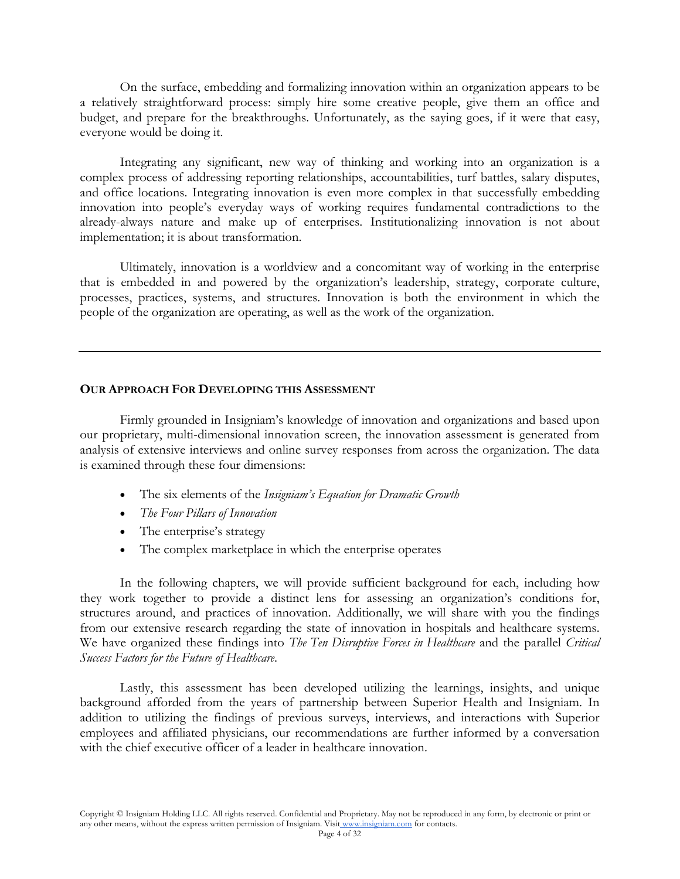On the surface, embedding and formalizing innovation within an organization appears to be a relatively straightforward process: simply hire some creative people, give them an office and budget, and prepare for the breakthroughs. Unfortunately, as the saying goes, if it were that easy, everyone would be doing it.

Integrating any significant, new way of thinking and working into an organization is a complex process of addressing reporting relationships, accountabilities, turf battles, salary disputes, and office locations. Integrating innovation is even more complex in that successfully embedding innovation into people's everyday ways of working requires fundamental contradictions to the already-always nature and make up of enterprises. Institutionalizing innovation is not about implementation; it is about transformation.

Ultimately, innovation is a worldview and a concomitant way of working in the enterprise that is embedded in and powered by the organization's leadership, strategy, corporate culture, processes, practices, systems, and structures. Innovation is both the environment in which the people of the organization are operating, as well as the work of the organization.

#### **OUR APPROACH FOR DEVELOPING THIS ASSESSMENT**

Firmly grounded in Insigniam's knowledge of innovation and organizations and based upon our proprietary, multi-dimensional innovation screen, the innovation assessment is generated from analysis of extensive interviews and online survey responses from across the organization. The data is examined through these four dimensions:

- The six elements of the *Insigniam's Equation for Dramatic Growth*
- *The Four Pillars of Innovation*
- The enterprise's strategy
- The complex marketplace in which the enterprise operates

In the following chapters, we will provide sufficient background for each, including how they work together to provide a distinct lens for assessing an organization's conditions for, structures around, and practices of innovation. Additionally, we will share with you the findings from our extensive research regarding the state of innovation in hospitals and healthcare systems. We have organized these findings into *The Ten Disruptive Forces in Healthcare* and the parallel *Critical Success Factors for the Future of Healthcare*.

Lastly, this assessment has been developed utilizing the learnings, insights, and unique background afforded from the years of partnership between Superior Health and Insigniam. In addition to utilizing the findings of previous surveys, interviews, and interactions with Superior employees and affiliated physicians, our recommendations are further informed by a conversation with the chief executive officer of a leader in healthcare innovation.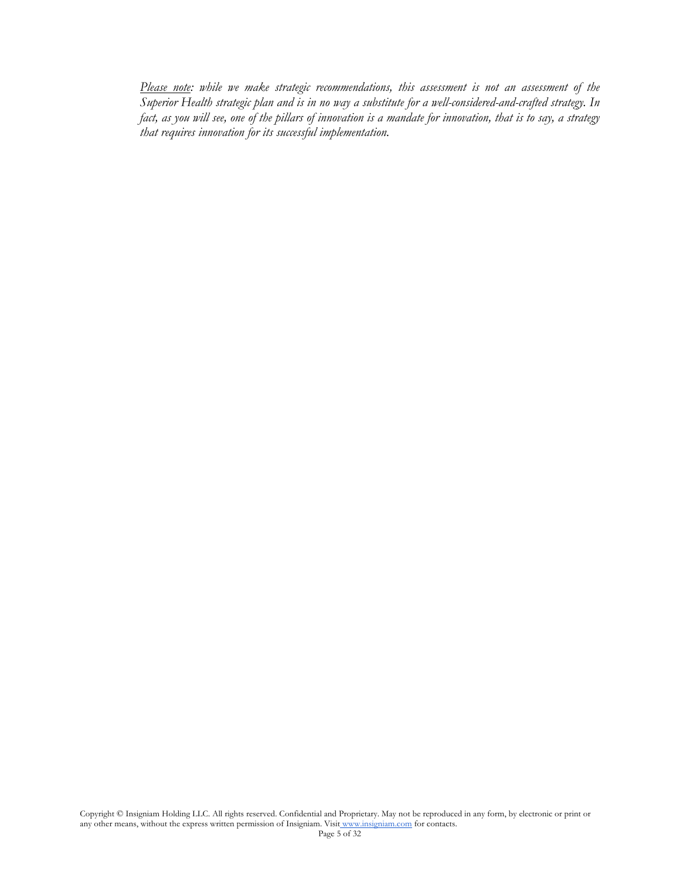*Please note: while we make strategic recommendations, this assessment is not an assessment of the Superior Health strategic plan and is in no way a substitute for a well-considered-and-crafted strategy. In fact, as you will see, one of the pillars of innovation is a mandate for innovation, that is to say, a strategy that requires innovation for its successful implementation.*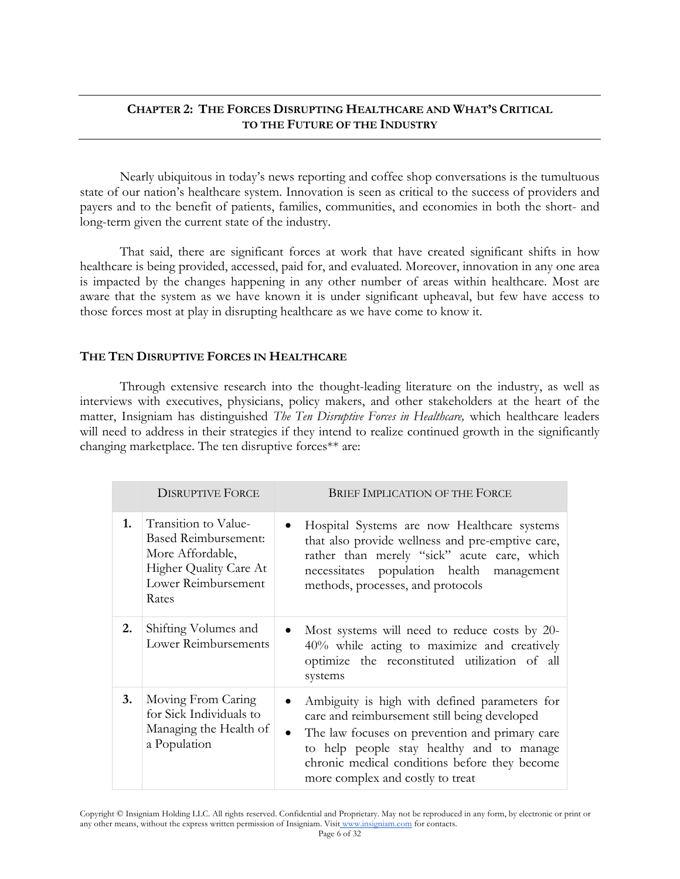# **CHAPTER 2: THE FORCES DISRUPTING HEALTHCARE AND WHAT'S CRITICAL TO THE FUTURE OF THE INDUSTRY**

Nearly ubiquitous in today's news reporting and coffee shop conversations is the tumultuous state of our nation's healthcare system. Innovation is seen as critical to the success of providers and payers and to the benefit of patients, families, communities, and economies in both the short- and long-term given the current state of the industry.

That said, there are significant forces at work that have created significant shifts in how healthcare is being provided, accessed, paid for, and evaluated. Moreover, innovation in any one area is impacted by the changes happening in any other number of areas within healthcare. Most are aware that the system as we have known it is under significant upheaval, but few have access to those forces most at play in disrupting healthcare as we have come to know it.

# **THE TEN DISRUPTIVE FORCES IN HEALTHCARE**

Through extensive research into the thought-leading literature on the industry, as well as interviews with executives, physicians, policy makers, and other stakeholders at the heart of the matter, Insigniam has distinguished *The Ten Disruptive Forces in Healthcare,* which healthcare leaders will need to address in their strategies if they intend to realize continued growth in the significantly changing marketplace. The ten disruptive forces\*\* are:

|    | <b>DISRUPTIVE FORCE</b>                                                                                                           | <b>BRIEF IMPLICATION OF THE FORCE</b>                                                                                                                                                                                                                                             |
|----|-----------------------------------------------------------------------------------------------------------------------------------|-----------------------------------------------------------------------------------------------------------------------------------------------------------------------------------------------------------------------------------------------------------------------------------|
| 1. | Transition to Value-<br><b>Based Reimbursement:</b><br>More Affordable,<br>Higher Quality Care At<br>Lower Reimbursement<br>Rates | Hospital Systems are now Healthcare systems<br>that also provide wellness and pre-emptive care,<br>rather than merely "sick" acute care, which<br>necessitates population health management<br>methods, processes, and protocols                                                  |
| 2. | Shifting Volumes and<br>Lower Reimbursements                                                                                      | Most systems will need to reduce costs by 20-<br>40% while acting to maximize and creatively<br>optimize the reconstituted utilization of all<br>systems                                                                                                                          |
| 3. | Moving From Caring<br>for Sick Individuals to<br>Managing the Health of<br>a Population                                           | Ambiguity is high with defined parameters for<br>care and reimbursement still being developed<br>The law focuses on prevention and primary care<br>to help people stay healthy and to manage<br>chronic medical conditions before they become<br>more complex and costly to treat |

Copyright © Insigniam Holding LLC. All rights reserved. Confidential and Proprietary. May not be reproduced in any form, by electronic or print or any other means, without the express written permission of Insigniam. Visit www.insigniam.com for contacts.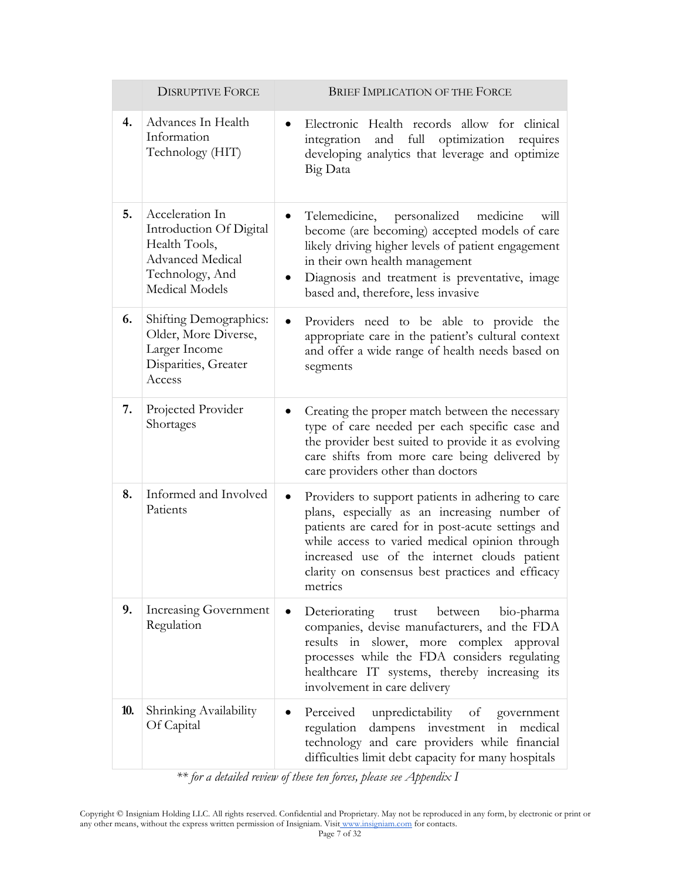|     | <b>DISRUPTIVE FORCE</b>                                                                                                     | <b>BRIEF IMPLICATION OF THE FORCE</b>                                                                                                                                                                                                                                                                                   |
|-----|-----------------------------------------------------------------------------------------------------------------------------|-------------------------------------------------------------------------------------------------------------------------------------------------------------------------------------------------------------------------------------------------------------------------------------------------------------------------|
| 4.  | Advances In Health<br>Information<br>Technology (HIT)                                                                       | Electronic Health records allow for clinical<br>and full<br>optimization<br>integration<br>requires<br>developing analytics that leverage and optimize<br>Big Data                                                                                                                                                      |
| 5.  | Acceleration In<br>Introduction Of Digital<br>Health Tools,<br><b>Advanced Medical</b><br>Technology, And<br>Medical Models | Telemedicine,<br>personalized<br>medicine<br>will<br>become (are becoming) accepted models of care<br>likely driving higher levels of patient engagement<br>in their own health management<br>Diagnosis and treatment is preventative, image<br>based and, therefore, less invasive                                     |
| 6.  | Shifting Demographics:<br>Older, More Diverse,<br>Larger Income<br>Disparities, Greater<br>Access                           | Providers need to be able to provide the<br>appropriate care in the patient's cultural context<br>and offer a wide range of health needs based on<br>segments                                                                                                                                                           |
| 7.  | Projected Provider<br>Shortages                                                                                             | Creating the proper match between the necessary<br>type of care needed per each specific case and<br>the provider best suited to provide it as evolving<br>care shifts from more care being delivered by<br>care providers other than doctors                                                                           |
| 8.  | Informed and Involved<br>Patients                                                                                           | Providers to support patients in adhering to care<br>plans, especially as an increasing number of<br>patients are cared for in post-acute settings and<br>while access to varied medical opinion through<br>increased use of the internet clouds patient<br>clarity on consensus best practices and efficacy<br>metrics |
| 9.  | <b>Increasing Government</b><br>Regulation                                                                                  | Deteriorating trust between<br>$\bullet$<br>bio-pharma<br>companies, devise manufacturers, and the FDA<br>results in slower, more complex approval<br>processes while the FDA considers regulating<br>healthcare IT systems, thereby increasing its<br>involvement in care delivery                                     |
| 10. | Shrinking Availability<br>Of Capital                                                                                        | Perceived<br>unpredictability of government<br>regulation<br>dampens<br>investment<br>in medical<br>technology and care providers while financial<br>difficulties limit debt capacity for many hospitals                                                                                                                |

*\*\* for a detailed review of these ten forces, please see Appendix I*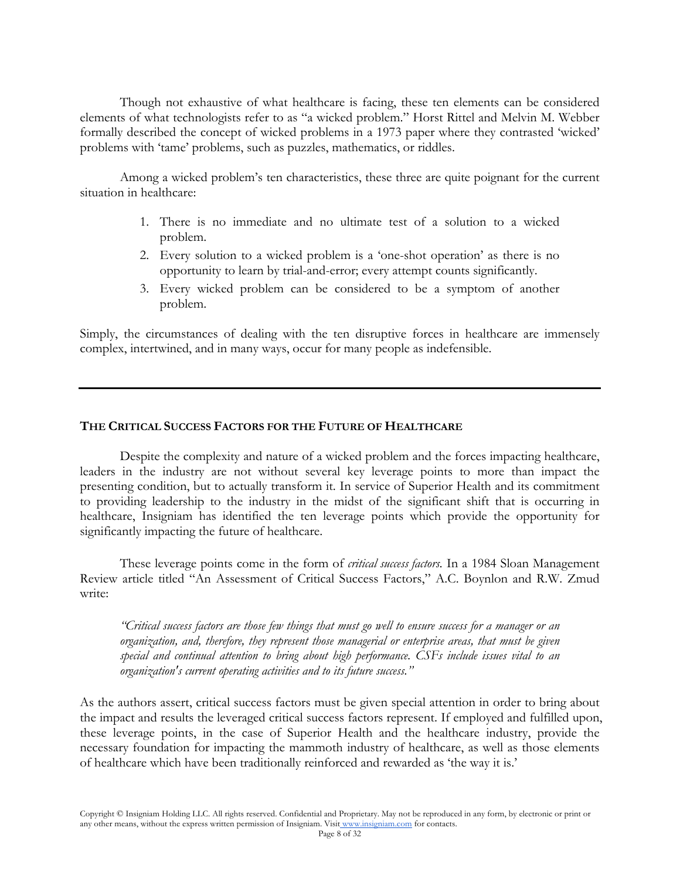Though not exhaustive of what healthcare is facing, these ten elements can be considered elements of what technologists refer to as "a wicked problem." Horst Rittel and Melvin M. Webber formally described the concept of wicked problems in a 1973 paper where they contrasted 'wicked' problems with 'tame' problems, such as puzzles, mathematics, or riddles.

Among a wicked problem's ten characteristics, these three are quite poignant for the current situation in healthcare:

- 1. There is no immediate and no ultimate test of a solution to a wicked problem.
- 2. Every solution to a wicked problem is a 'one-shot operation' as there is no opportunity to learn by trial-and-error; every attempt counts significantly.
- 3. Every wicked problem can be considered to be a symptom of another problem.

Simply, the circumstances of dealing with the ten disruptive forces in healthcare are immensely complex, intertwined, and in many ways, occur for many people as indefensible.

### **THE CRITICAL SUCCESS FACTORS FOR THE FUTURE OF HEALTHCARE**

Despite the complexity and nature of a wicked problem and the forces impacting healthcare, leaders in the industry are not without several key leverage points to more than impact the presenting condition, but to actually transform it. In service of Superior Health and its commitment to providing leadership to the industry in the midst of the significant shift that is occurring in healthcare, Insigniam has identified the ten leverage points which provide the opportunity for significantly impacting the future of healthcare.

These leverage points come in the form of *critical success factors.* In a 1984 Sloan Management Review article titled "An Assessment of Critical Success Factors," A.C. Boynlon and R.W. Zmud write:

*"Critical success factors are those few things that must go well to ensure success for a manager or an organization, and, therefore, they represent those managerial or enterprise areas, that must be given special and continual attention to bring about high performance. CSFs include issues vital to an organization's current operating activities and to its future success."*

As the authors assert, critical success factors must be given special attention in order to bring about the impact and results the leveraged critical success factors represent. If employed and fulfilled upon, these leverage points, in the case of Superior Health and the healthcare industry, provide the necessary foundation for impacting the mammoth industry of healthcare, as well as those elements of healthcare which have been traditionally reinforced and rewarded as 'the way it is.'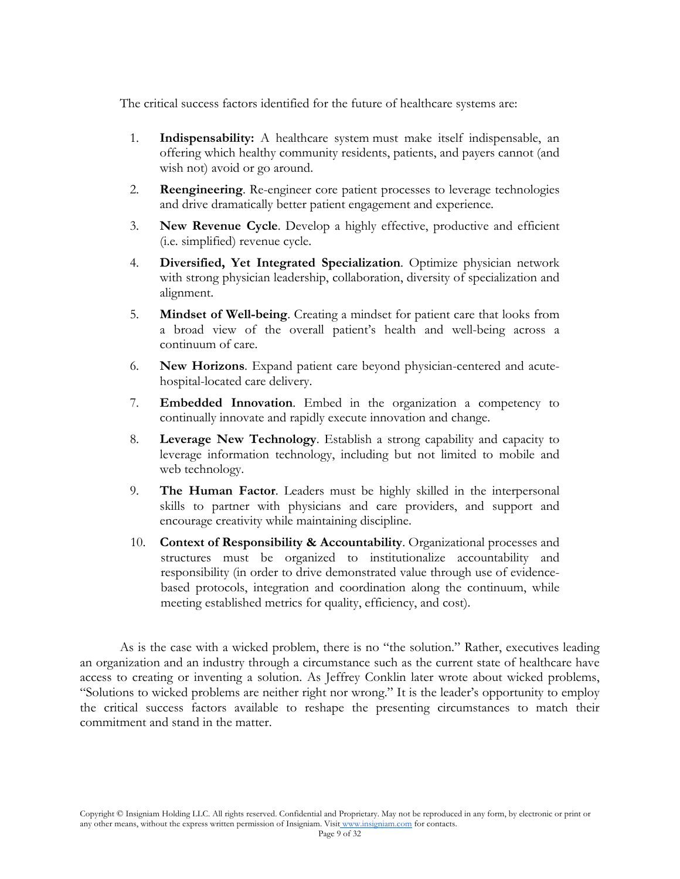The critical success factors identified for the future of healthcare systems are:

- 1. **Indispensability:** A healthcare system must make itself indispensable, an offering which healthy community residents, patients, and payers cannot (and wish not) avoid or go around.
- 2. **Reengineering**. Re-engineer core patient processes to leverage technologies and drive dramatically better patient engagement and experience.
- 3. **New Revenue Cycle**. Develop a highly effective, productive and efficient (i.e. simplified) revenue cycle.
- 4. **Diversified, Yet Integrated Specialization**. Optimize physician network with strong physician leadership, collaboration, diversity of specialization and alignment.
- 5. **Mindset of Well-being**. Creating a mindset for patient care that looks from a broad view of the overall patient's health and well-being across a continuum of care.
- 6. **New Horizons**. Expand patient care beyond physician-centered and acutehospital-located care delivery.
- 7. **Embedded Innovation**. Embed in the organization a competency to continually innovate and rapidly execute innovation and change.
- 8. **Leverage New Technology**. Establish a strong capability and capacity to leverage information technology, including but not limited to mobile and web technology.
- 9. **The Human Factor**. Leaders must be highly skilled in the interpersonal skills to partner with physicians and care providers, and support and encourage creativity while maintaining discipline.
- 10. **Context of Responsibility & Accountability**. Organizational processes and structures must be organized to institutionalize accountability and responsibility (in order to drive demonstrated value through use of evidencebased protocols, integration and coordination along the continuum, while meeting established metrics for quality, efficiency, and cost).

As is the case with a wicked problem, there is no "the solution." Rather, executives leading an organization and an industry through a circumstance such as the current state of healthcare have access to creating or inventing a solution. As Jeffrey Conklin later wrote about wicked problems, "Solutions to wicked problems are neither right nor wrong." It is the leader's opportunity to employ the critical success factors available to reshape the presenting circumstances to match their commitment and stand in the matter.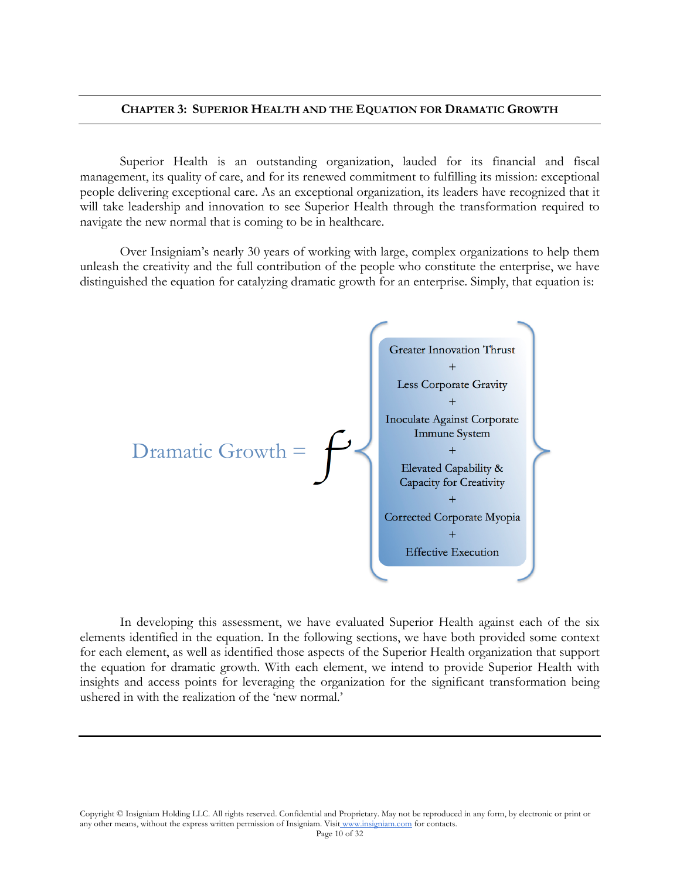### **CHAPTER 3: SUPERIOR HEALTH AND THE EQUATION FOR DRAMATIC GROWTH**

Superior Health is an outstanding organization, lauded for its financial and fiscal management, its quality of care, and for its renewed commitment to fulfilling its mission: exceptional people delivering exceptional care. As an exceptional organization, its leaders have recognized that it will take leadership and innovation to see Superior Health through the transformation required to navigate the new normal that is coming to be in healthcare.

Over Insigniam's nearly 30 years of working with large, complex organizations to help them unleash the creativity and the full contribution of the people who constitute the enterprise, we have distinguished the equation for catalyzing dramatic growth for an enterprise. Simply, that equation is:



In developing this assessment, we have evaluated Superior Health against each of the six elements identified in the equation. In the following sections, we have both provided some context for each element, as well as identified those aspects of the Superior Health organization that support the equation for dramatic growth. With each element, we intend to provide Superior Health with insights and access points for leveraging the organization for the significant transformation being ushered in with the realization of the 'new normal.'

Copyright © Insigniam Holding LLC. All rights reserved. Confidential and Proprietary. May not be reproduced in any form, by electronic or print or any other means, without the express written permission of Insigniam. Visit www.insigniam.com for contacts.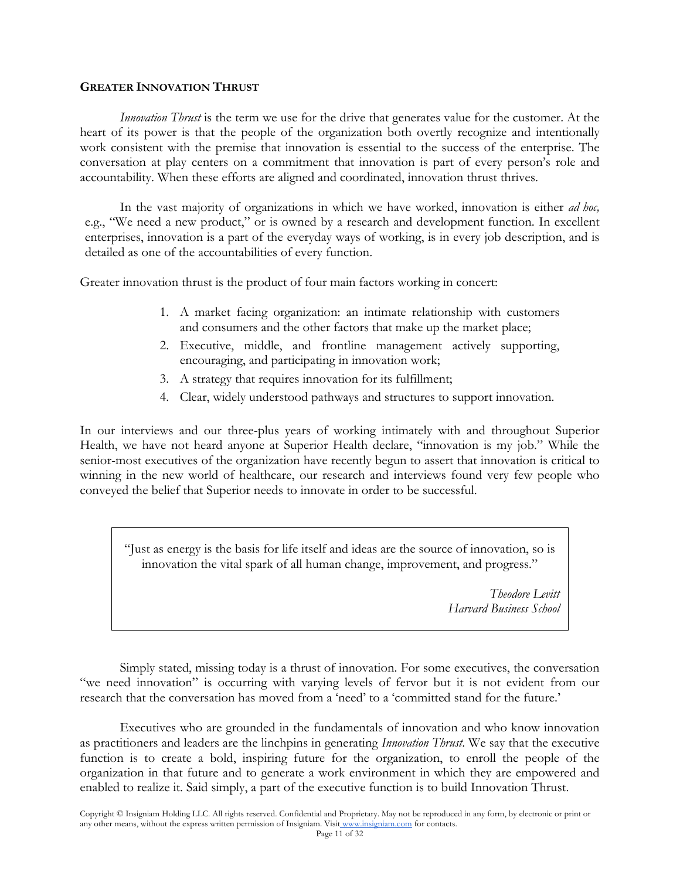#### **GREATER INNOVATION THRUST**

*Innovation Thrust* is the term we use for the drive that generates value for the customer. At the heart of its power is that the people of the organization both overtly recognize and intentionally work consistent with the premise that innovation is essential to the success of the enterprise. The conversation at play centers on a commitment that innovation is part of every person's role and accountability. When these efforts are aligned and coordinated, innovation thrust thrives.

In the vast majority of organizations in which we have worked, innovation is either *ad hoc,* e.g., "We need a new product," or is owned by a research and development function. In excellent enterprises, innovation is a part of the everyday ways of working, is in every job description, and is detailed as one of the accountabilities of every function.

Greater innovation thrust is the product of four main factors working in concert:

- 1. A market facing organization: an intimate relationship with customers and consumers and the other factors that make up the market place;
- 2. Executive, middle, and frontline management actively supporting, encouraging, and participating in innovation work;
- 3. A strategy that requires innovation for its fulfillment;
- 4. Clear, widely understood pathways and structures to support innovation.

In our interviews and our three-plus years of working intimately with and throughout Superior Health, we have not heard anyone at Superior Health declare, "innovation is my job." While the senior-most executives of the organization have recently begun to assert that innovation is critical to winning in the new world of healthcare, our research and interviews found very few people who conveyed the belief that Superior needs to innovate in order to be successful.

"Just as energy is the basis for life itself and ideas are the source of innovation, so is innovation the vital spark of all human change, improvement, and progress."

> *Theodore Levitt Harvard Business School*

Simply stated, missing today is a thrust of innovation. For some executives, the conversation "we need innovation" is occurring with varying levels of fervor but it is not evident from our research that the conversation has moved from a 'need' to a 'committed stand for the future.'

Executives who are grounded in the fundamentals of innovation and who know innovation as practitioners and leaders are the linchpins in generating *Innovation Thrust*. We say that the executive function is to create a bold, inspiring future for the organization, to enroll the people of the organization in that future and to generate a work environment in which they are empowered and enabled to realize it. Said simply, a part of the executive function is to build Innovation Thrust.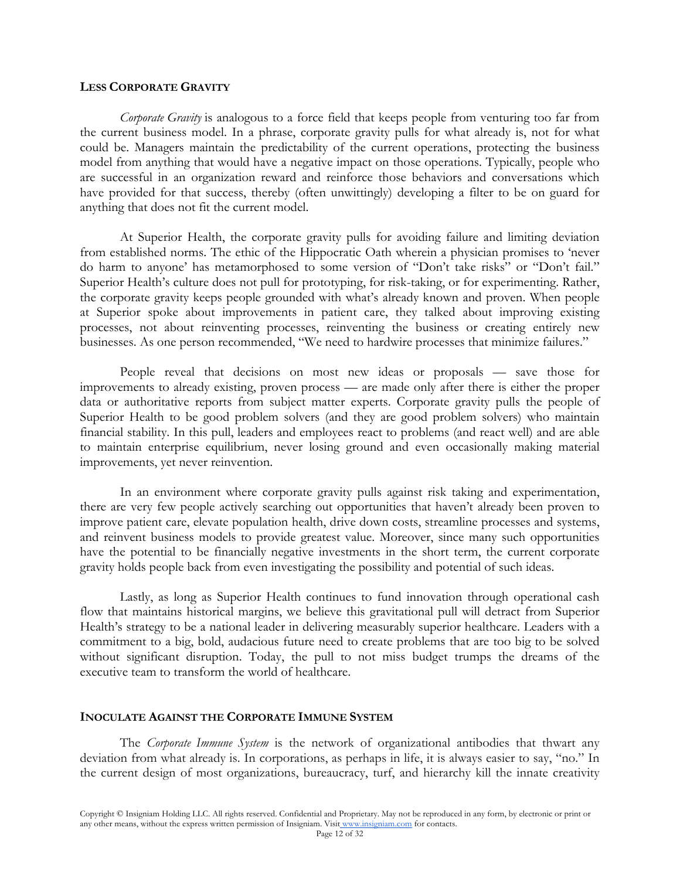#### **LESS CORPORATE GRAVITY**

*Corporate Gravity* is analogous to a force field that keeps people from venturing too far from the current business model. In a phrase, corporate gravity pulls for what already is, not for what could be. Managers maintain the predictability of the current operations, protecting the business model from anything that would have a negative impact on those operations. Typically, people who are successful in an organization reward and reinforce those behaviors and conversations which have provided for that success, thereby (often unwittingly) developing a filter to be on guard for anything that does not fit the current model.

At Superior Health, the corporate gravity pulls for avoiding failure and limiting deviation from established norms. The ethic of the Hippocratic Oath wherein a physician promises to 'never do harm to anyone' has metamorphosed to some version of "Don't take risks" or "Don't fail." Superior Health's culture does not pull for prototyping, for risk-taking, or for experimenting. Rather, the corporate gravity keeps people grounded with what's already known and proven. When people at Superior spoke about improvements in patient care, they talked about improving existing processes, not about reinventing processes, reinventing the business or creating entirely new businesses. As one person recommended, "We need to hardwire processes that minimize failures."

People reveal that decisions on most new ideas or proposals — save those for improvements to already existing, proven process — are made only after there is either the proper data or authoritative reports from subject matter experts. Corporate gravity pulls the people of Superior Health to be good problem solvers (and they are good problem solvers) who maintain financial stability. In this pull, leaders and employees react to problems (and react well) and are able to maintain enterprise equilibrium, never losing ground and even occasionally making material improvements, yet never reinvention.

In an environment where corporate gravity pulls against risk taking and experimentation, there are very few people actively searching out opportunities that haven't already been proven to improve patient care, elevate population health, drive down costs, streamline processes and systems, and reinvent business models to provide greatest value. Moreover, since many such opportunities have the potential to be financially negative investments in the short term, the current corporate gravity holds people back from even investigating the possibility and potential of such ideas.

Lastly, as long as Superior Health continues to fund innovation through operational cash flow that maintains historical margins, we believe this gravitational pull will detract from Superior Health's strategy to be a national leader in delivering measurably superior healthcare. Leaders with a commitment to a big, bold, audacious future need to create problems that are too big to be solved without significant disruption. Today, the pull to not miss budget trumps the dreams of the executive team to transform the world of healthcare.

#### **INOCULATE AGAINST THE CORPORATE IMMUNE SYSTEM**

The *Corporate Immune System* is the network of organizational antibodies that thwart any deviation from what already is. In corporations, as perhaps in life, it is always easier to say, "no." In the current design of most organizations, bureaucracy, turf, and hierarchy kill the innate creativity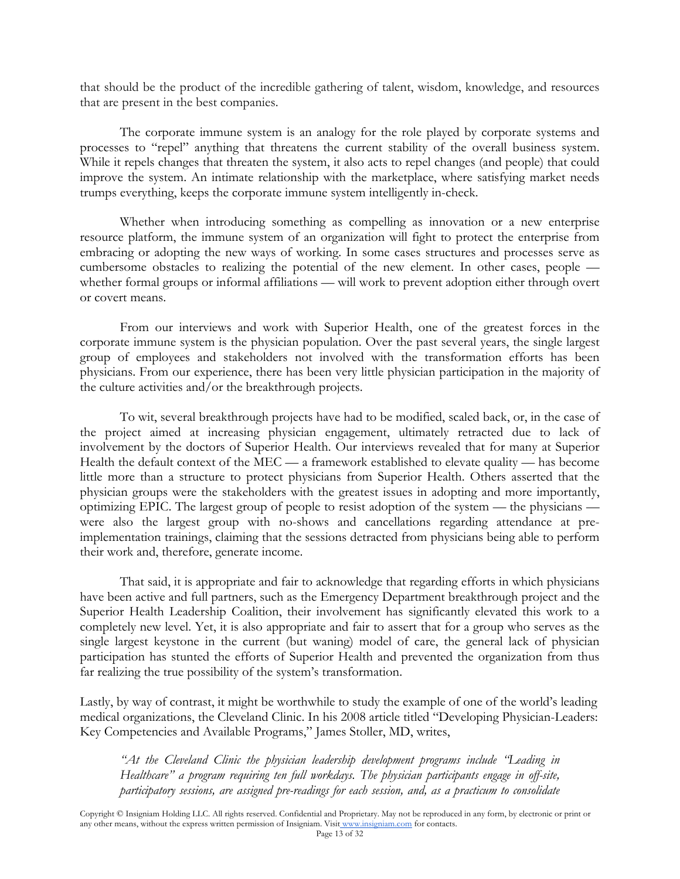that should be the product of the incredible gathering of talent, wisdom, knowledge, and resources that are present in the best companies.

The corporate immune system is an analogy for the role played by corporate systems and processes to "repel" anything that threatens the current stability of the overall business system. While it repels changes that threaten the system, it also acts to repel changes (and people) that could improve the system. An intimate relationship with the marketplace, where satisfying market needs trumps everything, keeps the corporate immune system intelligently in-check.

Whether when introducing something as compelling as innovation or a new enterprise resource platform, the immune system of an organization will fight to protect the enterprise from embracing or adopting the new ways of working. In some cases structures and processes serve as cumbersome obstacles to realizing the potential of the new element. In other cases, people whether formal groups or informal affiliations — will work to prevent adoption either through overt or covert means.

From our interviews and work with Superior Health, one of the greatest forces in the corporate immune system is the physician population. Over the past several years, the single largest group of employees and stakeholders not involved with the transformation efforts has been physicians. From our experience, there has been very little physician participation in the majority of the culture activities and/or the breakthrough projects.

To wit, several breakthrough projects have had to be modified, scaled back, or, in the case of the project aimed at increasing physician engagement, ultimately retracted due to lack of involvement by the doctors of Superior Health. Our interviews revealed that for many at Superior Health the default context of the MEC — a framework established to elevate quality — has become little more than a structure to protect physicians from Superior Health. Others asserted that the physician groups were the stakeholders with the greatest issues in adopting and more importantly, optimizing EPIC. The largest group of people to resist adoption of the system — the physicians were also the largest group with no-shows and cancellations regarding attendance at preimplementation trainings, claiming that the sessions detracted from physicians being able to perform their work and, therefore, generate income.

That said, it is appropriate and fair to acknowledge that regarding efforts in which physicians have been active and full partners, such as the Emergency Department breakthrough project and the Superior Health Leadership Coalition, their involvement has significantly elevated this work to a completely new level. Yet, it is also appropriate and fair to assert that for a group who serves as the single largest keystone in the current (but waning) model of care, the general lack of physician participation has stunted the efforts of Superior Health and prevented the organization from thus far realizing the true possibility of the system's transformation.

Lastly, by way of contrast, it might be worthwhile to study the example of one of the world's leading medical organizations, the Cleveland Clinic. In his 2008 article titled "Developing Physician-Leaders: Key Competencies and Available Programs," James Stoller, MD, writes,

*"At the Cleveland Clinic the physician leadership development programs include "Leading in Healthcare" a program requiring ten full workdays. The physician participants engage in off-site, participatory sessions, are assigned pre-readings for each session, and, as a practicum to consolidate*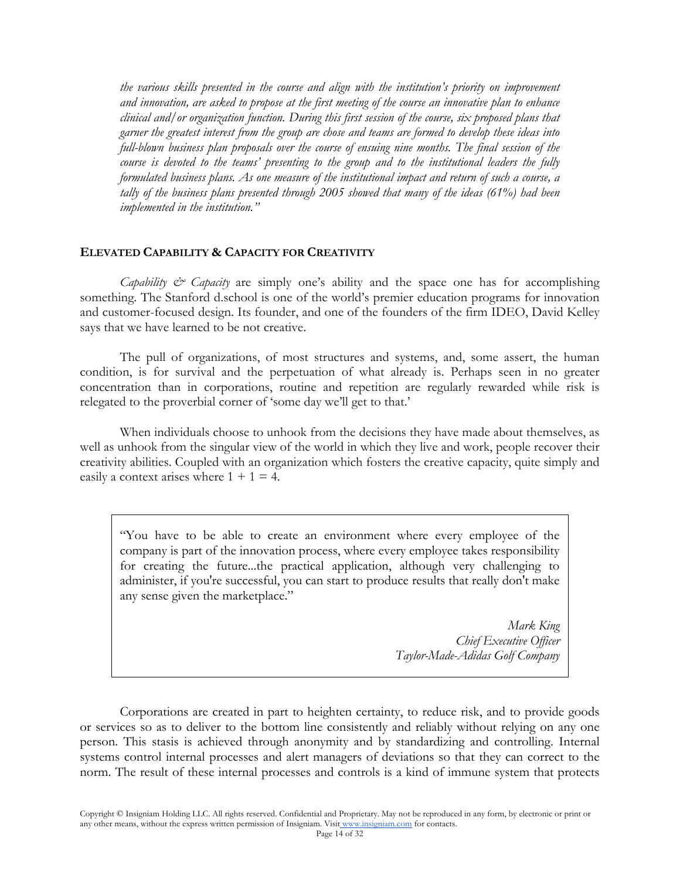*the various skills presented in the course and align with the institution's priority on improvement and innovation, are asked to propose at the first meeting of the course an innovative plan to enhance clinical and/or organization function. During this first session of the course, six proposed plans that garner the greatest interest from the group are chose and teams are formed to develop these ideas into full-blown business plan proposals over the course of ensuing nine months. The final session of the course is devoted to the teams' presenting to the group and to the institutional leaders the fully formulated business plans. As one measure of the institutional impact and return of such a course, a tally of the business plans presented through 2005 showed that many of the ideas (61%) had been implemented in the institution."*

#### **ELEVATED CAPABILITY & CAPACITY FOR CREATIVITY**

*Capability*  $\mathcal O$  *Capacity* are simply one's ability and the space one has for accomplishing something. The Stanford d.school is one of the world's premier education programs for innovation and customer-focused design. Its founder, and one of the founders of the firm IDEO, David Kelley says that we have learned to be not creative.

The pull of organizations, of most structures and systems, and, some assert, the human condition, is for survival and the perpetuation of what already is. Perhaps seen in no greater concentration than in corporations, routine and repetition are regularly rewarded while risk is relegated to the proverbial corner of 'some day we'll get to that.'

When individuals choose to unhook from the decisions they have made about themselves, as well as unhook from the singular view of the world in which they live and work, people recover their creativity abilities. Coupled with an organization which fosters the creative capacity, quite simply and easily a context arises where  $1 + 1 = 4$ .

"You have to be able to create an environment where every employee of the company is part of the innovation process, where every employee takes responsibility for creating the future...the practical application, although very challenging to administer, if you're successful, you can start to produce results that really don't make any sense given the marketplace."

> *Mark King Chief Executive Officer Taylor-Made-Adidas Golf Company*

Corporations are created in part to heighten certainty, to reduce risk, and to provide goods or services so as to deliver to the bottom line consistently and reliably without relying on any one person. This stasis is achieved through anonymity and by standardizing and controlling. Internal systems control internal processes and alert managers of deviations so that they can correct to the norm. The result of these internal processes and controls is a kind of immune system that protects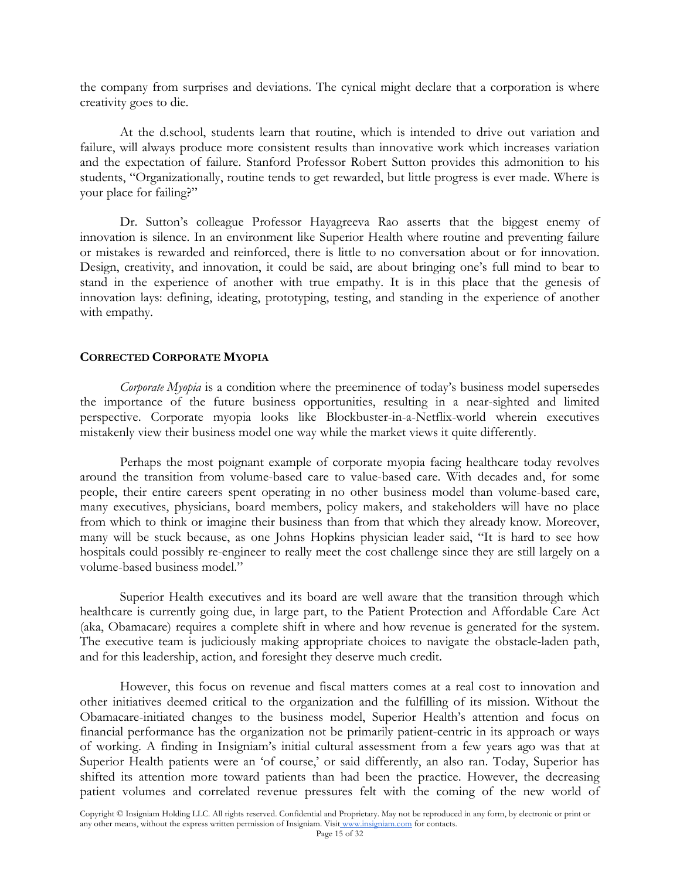the company from surprises and deviations. The cynical might declare that a corporation is where creativity goes to die.

At the d.school, students learn that routine, which is intended to drive out variation and failure, will always produce more consistent results than innovative work which increases variation and the expectation of failure. Stanford Professor Robert Sutton provides this admonition to his students, "Organizationally, routine tends to get rewarded, but little progress is ever made. Where is your place for failing?"

Dr. Sutton's colleague Professor Hayagreeva Rao asserts that the biggest enemy of innovation is silence. In an environment like Superior Health where routine and preventing failure or mistakes is rewarded and reinforced, there is little to no conversation about or for innovation. Design, creativity, and innovation, it could be said, are about bringing one's full mind to bear to stand in the experience of another with true empathy. It is in this place that the genesis of innovation lays: defining, ideating, prototyping, testing, and standing in the experience of another with empathy.

### **CORRECTED CORPORATE MYOPIA**

*Corporate Myopia* is a condition where the preeminence of today's business model supersedes the importance of the future business opportunities, resulting in a near-sighted and limited perspective. Corporate myopia looks like Blockbuster-in-a-Netflix-world wherein executives mistakenly view their business model one way while the market views it quite differently.

Perhaps the most poignant example of corporate myopia facing healthcare today revolves around the transition from volume-based care to value-based care. With decades and, for some people, their entire careers spent operating in no other business model than volume-based care, many executives, physicians, board members, policy makers, and stakeholders will have no place from which to think or imagine their business than from that which they already know. Moreover, many will be stuck because, as one Johns Hopkins physician leader said, "It is hard to see how hospitals could possibly re-engineer to really meet the cost challenge since they are still largely on a volume-based business model."

Superior Health executives and its board are well aware that the transition through which healthcare is currently going due, in large part, to the Patient Protection and Affordable Care Act (aka, Obamacare) requires a complete shift in where and how revenue is generated for the system. The executive team is judiciously making appropriate choices to navigate the obstacle-laden path, and for this leadership, action, and foresight they deserve much credit.

However, this focus on revenue and fiscal matters comes at a real cost to innovation and other initiatives deemed critical to the organization and the fulfilling of its mission. Without the Obamacare-initiated changes to the business model, Superior Health's attention and focus on financial performance has the organization not be primarily patient-centric in its approach or ways of working. A finding in Insigniam's initial cultural assessment from a few years ago was that at Superior Health patients were an 'of course,' or said differently, an also ran. Today, Superior has shifted its attention more toward patients than had been the practice. However, the decreasing patient volumes and correlated revenue pressures felt with the coming of the new world of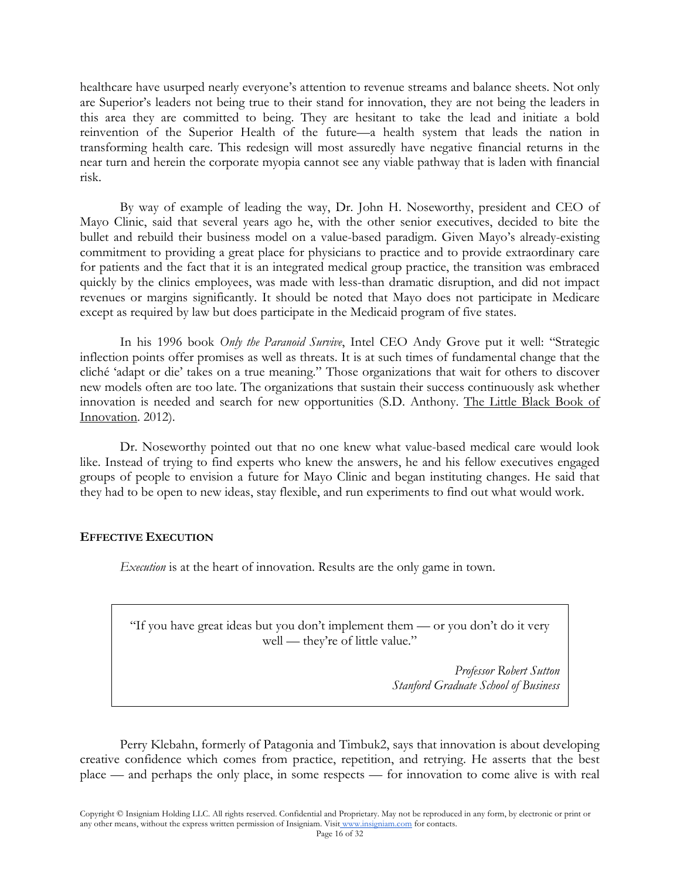healthcare have usurped nearly everyone's attention to revenue streams and balance sheets. Not only are Superior's leaders not being true to their stand for innovation, they are not being the leaders in this area they are committed to being. They are hesitant to take the lead and initiate a bold reinvention of the Superior Health of the future—a health system that leads the nation in transforming health care. This redesign will most assuredly have negative financial returns in the near turn and herein the corporate myopia cannot see any viable pathway that is laden with financial risk.

By way of example of leading the way, Dr. John H. Noseworthy, president and CEO of Mayo Clinic, said that several years ago he, with the other senior executives, decided to bite the bullet and rebuild their business model on a value-based paradigm. Given Mayo's already-existing commitment to providing a great place for physicians to practice and to provide extraordinary care for patients and the fact that it is an integrated medical group practice, the transition was embraced quickly by the clinics employees, was made with less-than dramatic disruption, and did not impact revenues or margins significantly. It should be noted that Mayo does not participate in Medicare except as required by law but does participate in the Medicaid program of five states.

In his 1996 book *Only the Paranoid Survive*, Intel CEO Andy Grove put it well: "Strategic inflection points offer promises as well as threats. It is at such times of fundamental change that the cliché 'adapt or die' takes on a true meaning." Those organizations that wait for others to discover new models often are too late. The organizations that sustain their success continuously ask whether innovation is needed and search for new opportunities (S.D. Anthony. The Little Black Book of Innovation. 2012).

Dr. Noseworthy pointed out that no one knew what value-based medical care would look like. Instead of trying to find experts who knew the answers, he and his fellow executives engaged groups of people to envision a future for Mayo Clinic and began instituting changes. He said that they had to be open to new ideas, stay flexible, and run experiments to find out what would work.

### **EFFECTIVE EXECUTION**

*Execution* is at the heart of innovation. Results are the only game in town.

"If you have great ideas but you don't implement them — or you don't do it very well — they're of little value."

> *Professor Robert Sutton Stanford Graduate School of Business*

Perry Klebahn, formerly of Patagonia and Timbuk2, says that innovation is about developing creative confidence which comes from practice, repetition, and retrying. He asserts that the best place — and perhaps the only place, in some respects — for innovation to come alive is with real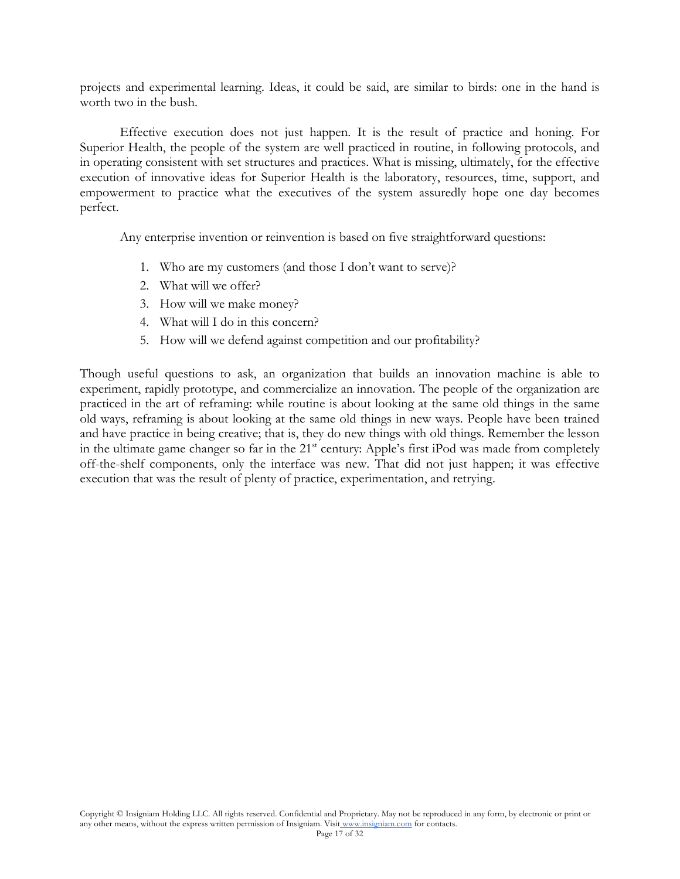projects and experimental learning. Ideas, it could be said, are similar to birds: one in the hand is worth two in the bush.

Effective execution does not just happen. It is the result of practice and honing. For Superior Health, the people of the system are well practiced in routine, in following protocols, and in operating consistent with set structures and practices. What is missing, ultimately, for the effective execution of innovative ideas for Superior Health is the laboratory, resources, time, support, and empowerment to practice what the executives of the system assuredly hope one day becomes perfect.

Any enterprise invention or reinvention is based on five straightforward questions:

- 1. Who are my customers (and those I don't want to serve)?
- 2. What will we offer?
- 3. How will we make money?
- 4. What will I do in this concern?
- 5. How will we defend against competition and our profitability?

Though useful questions to ask, an organization that builds an innovation machine is able to experiment, rapidly prototype, and commercialize an innovation. The people of the organization are practiced in the art of reframing: while routine is about looking at the same old things in the same old ways, reframing is about looking at the same old things in new ways. People have been trained and have practice in being creative; that is, they do new things with old things. Remember the lesson in the ultimate game changer so far in the  $21<sup>st</sup>$  century: Apple's first iPod was made from completely off-the-shelf components, only the interface was new. That did not just happen; it was effective execution that was the result of plenty of practice, experimentation, and retrying.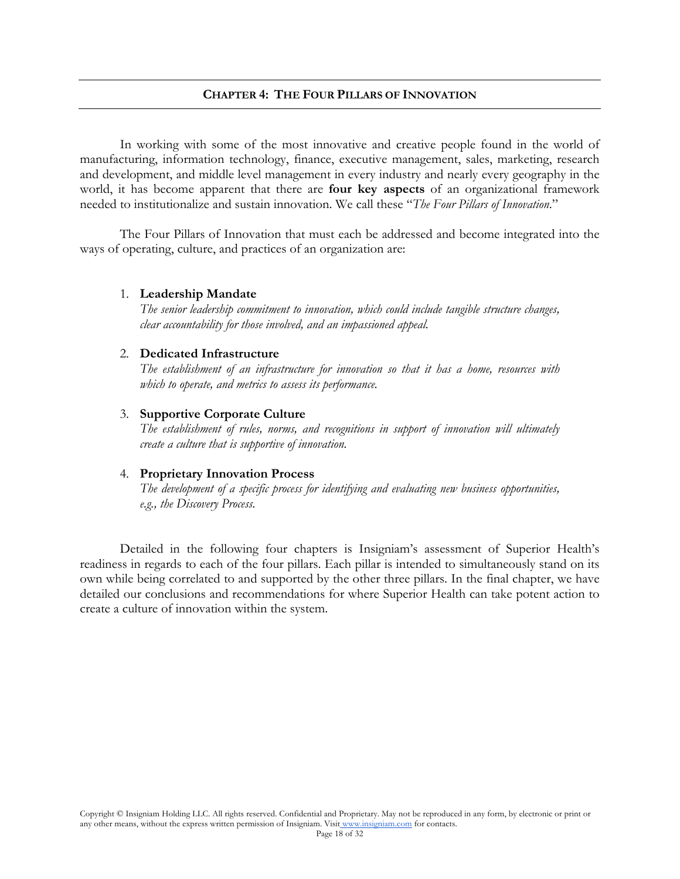#### **CHAPTER 4: THE FOUR PILLARS OF INNOVATION**

In working with some of the most innovative and creative people found in the world of manufacturing, information technology, finance, executive management, sales, marketing, research and development, and middle level management in every industry and nearly every geography in the world, it has become apparent that there are **four key aspects** of an organizational framework needed to institutionalize and sustain innovation. We call these "*The Four Pillars of Innovation*."

The Four Pillars of Innovation that must each be addressed and become integrated into the ways of operating, culture, and practices of an organization are:

#### 1. **Leadership Mandate**

*The senior leadership commitment to innovation, which could include tangible structure changes, clear accountability for those involved, and an impassioned appeal.*

### 2. **Dedicated Infrastructure**

*The establishment of an infrastructure for innovation so that it has a home, resources with which to operate, and metrics to assess its performance.*

#### 3. **Supportive Corporate Culture**

*The establishment of rules, norms, and recognitions in support of innovation will ultimately create a culture that is supportive of innovation.*

### 4. **Proprietary Innovation Process**

*The development of a specific process for identifying and evaluating new business opportunities, e.g., the Discovery Process.*

Detailed in the following four chapters is Insigniam's assessment of Superior Health's readiness in regards to each of the four pillars. Each pillar is intended to simultaneously stand on its own while being correlated to and supported by the other three pillars. In the final chapter, we have detailed our conclusions and recommendations for where Superior Health can take potent action to create a culture of innovation within the system.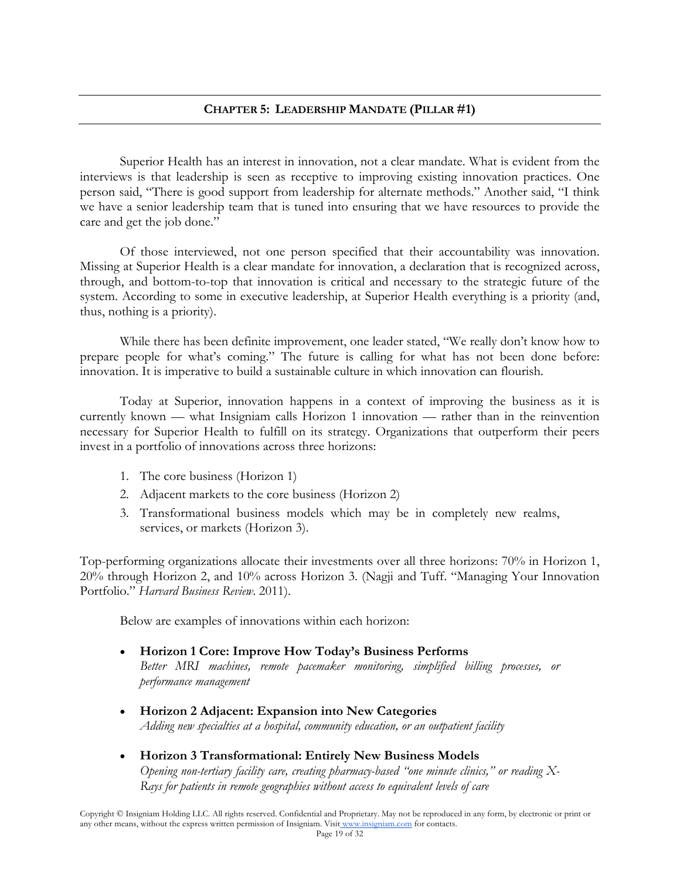# **CHAPTER 5: LEADERSHIP MANDATE (PILLAR #1)**

Superior Health has an interest in innovation, not a clear mandate. What is evident from the interviews is that leadership is seen as receptive to improving existing innovation practices. One person said, "There is good support from leadership for alternate methods." Another said, "I think we have a senior leadership team that is tuned into ensuring that we have resources to provide the care and get the job done."

Of those interviewed, not one person specified that their accountability was innovation. Missing at Superior Health is a clear mandate for innovation, a declaration that is recognized across, through, and bottom-to-top that innovation is critical and necessary to the strategic future of the system. According to some in executive leadership, at Superior Health everything is a priority (and, thus, nothing is a priority).

While there has been definite improvement, one leader stated, "We really don't know how to prepare people for what's coming." The future is calling for what has not been done before: innovation. It is imperative to build a sustainable culture in which innovation can flourish.

Today at Superior, innovation happens in a context of improving the business as it is currently known — what Insigniam calls Horizon 1 innovation — rather than in the reinvention necessary for Superior Health to fulfill on its strategy. Organizations that outperform their peers invest in a portfolio of innovations across three horizons:

- 1. The core business (Horizon 1)
- 2. Adjacent markets to the core business (Horizon 2)
- 3. Transformational business models which may be in completely new realms, services, or markets (Horizon 3).

Top-performing organizations allocate their investments over all three horizons: 70% in Horizon 1, 20% through Horizon 2, and 10% across Horizon 3. (Nagji and Tuff. "Managing Your Innovation Portfolio." *Harvard Business Review*. 2011).

Below are examples of innovations within each horizon:

### • **Horizon 1 Core: Improve How Today's Business Performs**

*Better MRI machines, remote pacemaker monitoring, simplified billing processes, or performance management*

- **Horizon 2 Adjacent: Expansion into New Categories** *Adding new specialties at a hospital, community education, or an outpatient facility*
- **Horizon 3 Transformational: Entirely New Business Models** *Opening non-tertiary facility care, creating pharmacy-based "one minute clinics," or reading X-Rays for patients in remote geographies without access to equivalent levels of care*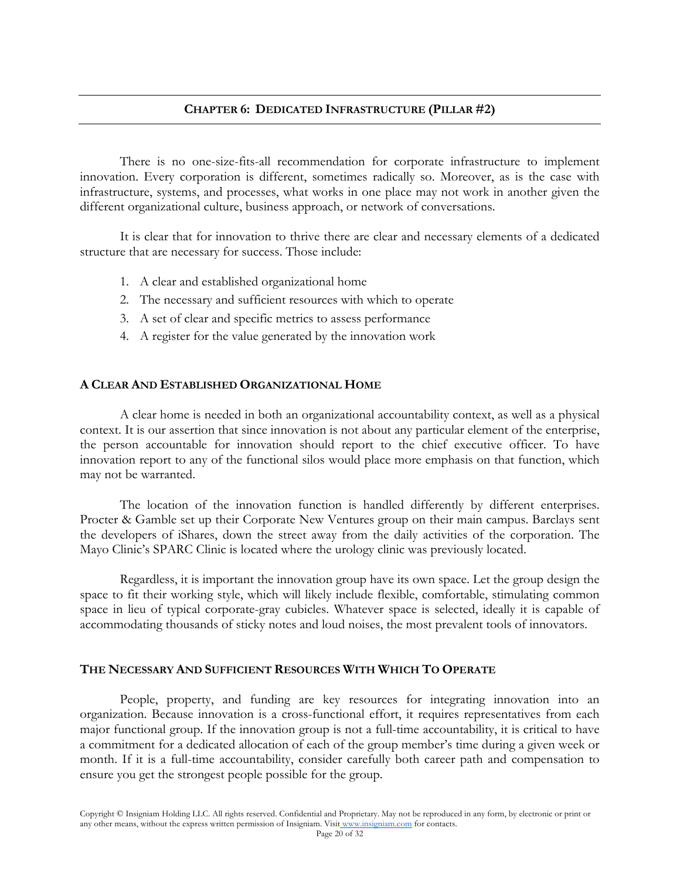# **CHAPTER 6: DEDICATED INFRASTRUCTURE (PILLAR #2)**

There is no one-size-fits-all recommendation for corporate infrastructure to implement innovation. Every corporation is different, sometimes radically so. Moreover, as is the case with infrastructure, systems, and processes, what works in one place may not work in another given the different organizational culture, business approach, or network of conversations.

It is clear that for innovation to thrive there are clear and necessary elements of a dedicated structure that are necessary for success. Those include:

- 1. A clear and established organizational home
- 2. The necessary and sufficient resources with which to operate
- 3. A set of clear and specific metrics to assess performance
- 4. A register for the value generated by the innovation work

### **A CLEAR AND ESTABLISHED ORGANIZATIONAL HOME**

A clear home is needed in both an organizational accountability context, as well as a physical context. It is our assertion that since innovation is not about any particular element of the enterprise, the person accountable for innovation should report to the chief executive officer. To have innovation report to any of the functional silos would place more emphasis on that function, which may not be warranted.

The location of the innovation function is handled differently by different enterprises. Procter & Gamble set up their Corporate New Ventures group on their main campus. Barclays sent the developers of iShares, down the street away from the daily activities of the corporation. The Mayo Clinic's SPARC Clinic is located where the urology clinic was previously located.

Regardless, it is important the innovation group have its own space. Let the group design the space to fit their working style, which will likely include flexible, comfortable, stimulating common space in lieu of typical corporate-gray cubicles. Whatever space is selected, ideally it is capable of accommodating thousands of sticky notes and loud noises, the most prevalent tools of innovators.

### **THE NECESSARY AND SUFFICIENT RESOURCES WITH WHICH TO OPERATE**

People, property, and funding are key resources for integrating innovation into an organization. Because innovation is a cross-functional effort, it requires representatives from each major functional group. If the innovation group is not a full-time accountability, it is critical to have a commitment for a dedicated allocation of each of the group member's time during a given week or month. If it is a full-time accountability, consider carefully both career path and compensation to ensure you get the strongest people possible for the group.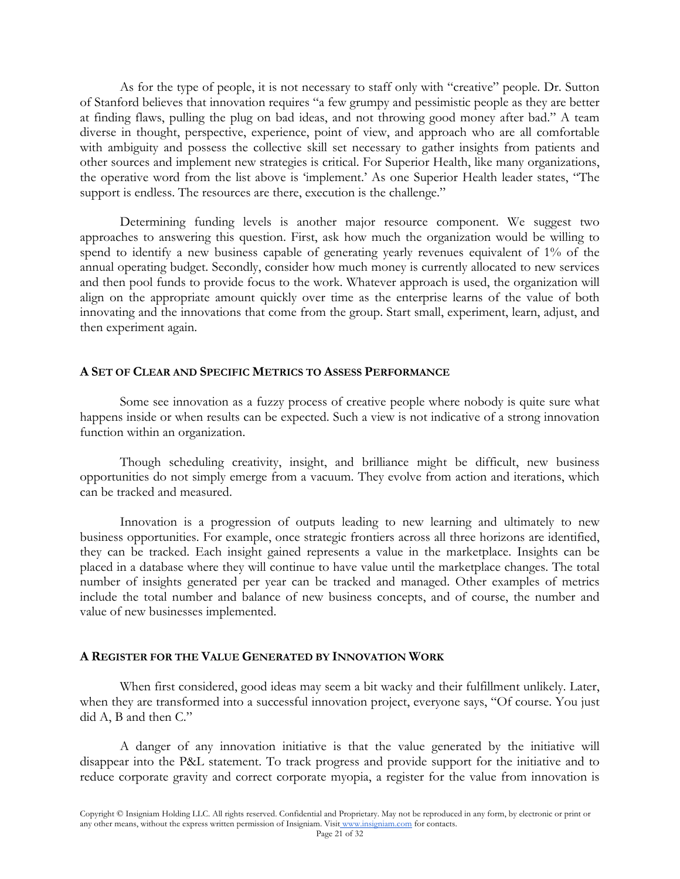As for the type of people, it is not necessary to staff only with "creative" people. Dr. Sutton of Stanford believes that innovation requires "a few grumpy and pessimistic people as they are better at finding flaws, pulling the plug on bad ideas, and not throwing good money after bad." A team diverse in thought, perspective, experience, point of view, and approach who are all comfortable with ambiguity and possess the collective skill set necessary to gather insights from patients and other sources and implement new strategies is critical. For Superior Health, like many organizations, the operative word from the list above is 'implement.' As one Superior Health leader states, "The support is endless. The resources are there, execution is the challenge."

Determining funding levels is another major resource component. We suggest two approaches to answering this question. First, ask how much the organization would be willing to spend to identify a new business capable of generating yearly revenues equivalent of 1% of the annual operating budget. Secondly, consider how much money is currently allocated to new services and then pool funds to provide focus to the work. Whatever approach is used, the organization will align on the appropriate amount quickly over time as the enterprise learns of the value of both innovating and the innovations that come from the group. Start small, experiment, learn, adjust, and then experiment again.

#### **A SET OF CLEAR AND SPECIFIC METRICS TO ASSESS PERFORMANCE**

Some see innovation as a fuzzy process of creative people where nobody is quite sure what happens inside or when results can be expected. Such a view is not indicative of a strong innovation function within an organization.

Though scheduling creativity, insight, and brilliance might be difficult, new business opportunities do not simply emerge from a vacuum. They evolve from action and iterations, which can be tracked and measured.

Innovation is a progression of outputs leading to new learning and ultimately to new business opportunities. For example, once strategic frontiers across all three horizons are identified, they can be tracked. Each insight gained represents a value in the marketplace. Insights can be placed in a database where they will continue to have value until the marketplace changes. The total number of insights generated per year can be tracked and managed. Other examples of metrics include the total number and balance of new business concepts, and of course, the number and value of new businesses implemented.

#### **A REGISTER FOR THE VALUE GENERATED BY INNOVATION WORK**

When first considered, good ideas may seem a bit wacky and their fulfillment unlikely. Later, when they are transformed into a successful innovation project, everyone says, "Of course. You just did A, B and then C."

A danger of any innovation initiative is that the value generated by the initiative will disappear into the P&L statement. To track progress and provide support for the initiative and to reduce corporate gravity and correct corporate myopia, a register for the value from innovation is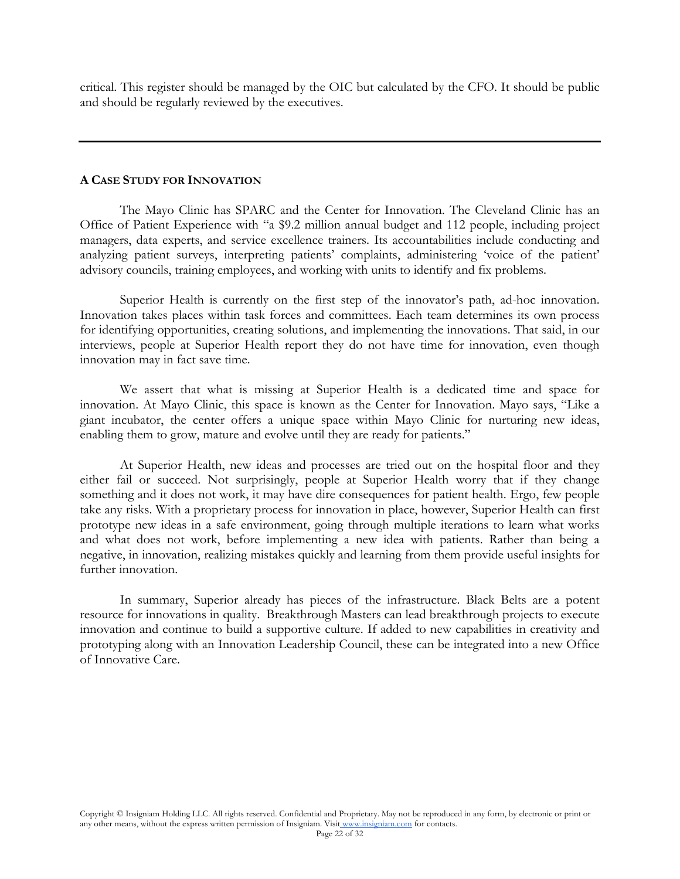critical. This register should be managed by the OIC but calculated by the CFO. It should be public and should be regularly reviewed by the executives.

#### **A CASE STUDY FOR INNOVATION**

The Mayo Clinic has SPARC and the Center for Innovation. The Cleveland Clinic has an Office of Patient Experience with "a \$9.2 million annual budget and 112 people, including project managers, data experts, and service excellence trainers. Its accountabilities include conducting and analyzing patient surveys, interpreting patients' complaints, administering 'voice of the patient' advisory councils, training employees, and working with units to identify and fix problems.

Superior Health is currently on the first step of the innovator's path, ad-hoc innovation. Innovation takes places within task forces and committees. Each team determines its own process for identifying opportunities, creating solutions, and implementing the innovations. That said, in our interviews, people at Superior Health report they do not have time for innovation, even though innovation may in fact save time.

We assert that what is missing at Superior Health is a dedicated time and space for innovation. At Mayo Clinic, this space is known as the Center for Innovation. Mayo says, "Like a giant incubator, the center offers a unique space within Mayo Clinic for nurturing new ideas, enabling them to grow, mature and evolve until they are ready for patients."

At Superior Health, new ideas and processes are tried out on the hospital floor and they either fail or succeed. Not surprisingly, people at Superior Health worry that if they change something and it does not work, it may have dire consequences for patient health. Ergo, few people take any risks. With a proprietary process for innovation in place, however, Superior Health can first prototype new ideas in a safe environment, going through multiple iterations to learn what works and what does not work, before implementing a new idea with patients. Rather than being a negative, in innovation, realizing mistakes quickly and learning from them provide useful insights for further innovation.

In summary, Superior already has pieces of the infrastructure. Black Belts are a potent resource for innovations in quality. Breakthrough Masters can lead breakthrough projects to execute innovation and continue to build a supportive culture. If added to new capabilities in creativity and prototyping along with an Innovation Leadership Council, these can be integrated into a new Office of Innovative Care.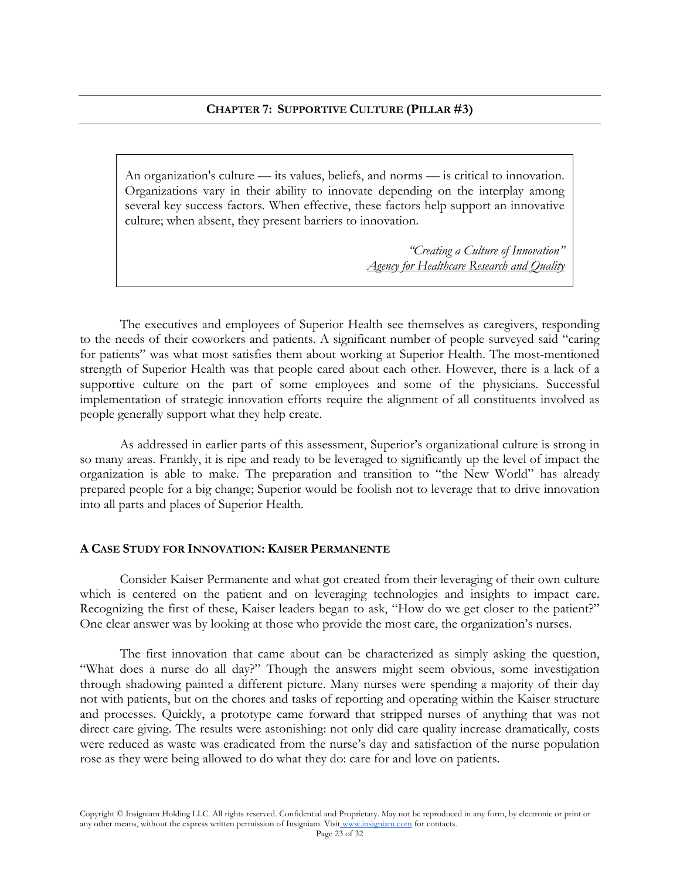# **CHAPTER 7: SUPPORTIVE CULTURE (PILLAR #3)**

An organization's culture — its values, beliefs, and norms — is critical to innovation. Organizations vary in their ability to innovate depending on the interplay among several key success factors. When effective, these factors help support an innovative culture; when absent, they present barriers to innovation.

> *"Creating a Culture of Innovation" Agency for Healthcare Research and Quality*

The executives and employees of Superior Health see themselves as caregivers, responding to the needs of their coworkers and patients. A significant number of people surveyed said "caring for patients" was what most satisfies them about working at Superior Health. The most-mentioned strength of Superior Health was that people cared about each other. However, there is a lack of a supportive culture on the part of some employees and some of the physicians. Successful implementation of strategic innovation efforts require the alignment of all constituents involved as people generally support what they help create.

As addressed in earlier parts of this assessment, Superior's organizational culture is strong in so many areas. Frankly, it is ripe and ready to be leveraged to significantly up the level of impact the organization is able to make. The preparation and transition to "the New World" has already prepared people for a big change; Superior would be foolish not to leverage that to drive innovation into all parts and places of Superior Health.

#### **A CASE STUDY FOR INNOVATION: KAISER PERMANENTE**

Consider Kaiser Permanente and what got created from their leveraging of their own culture which is centered on the patient and on leveraging technologies and insights to impact care. Recognizing the first of these, Kaiser leaders began to ask, "How do we get closer to the patient?" One clear answer was by looking at those who provide the most care, the organization's nurses.

The first innovation that came about can be characterized as simply asking the question, "What does a nurse do all day?" Though the answers might seem obvious, some investigation through shadowing painted a different picture. Many nurses were spending a majority of their day not with patients, but on the chores and tasks of reporting and operating within the Kaiser structure and processes. Quickly, a prototype came forward that stripped nurses of anything that was not direct care giving. The results were astonishing: not only did care quality increase dramatically, costs were reduced as waste was eradicated from the nurse's day and satisfaction of the nurse population rose as they were being allowed to do what they do: care for and love on patients.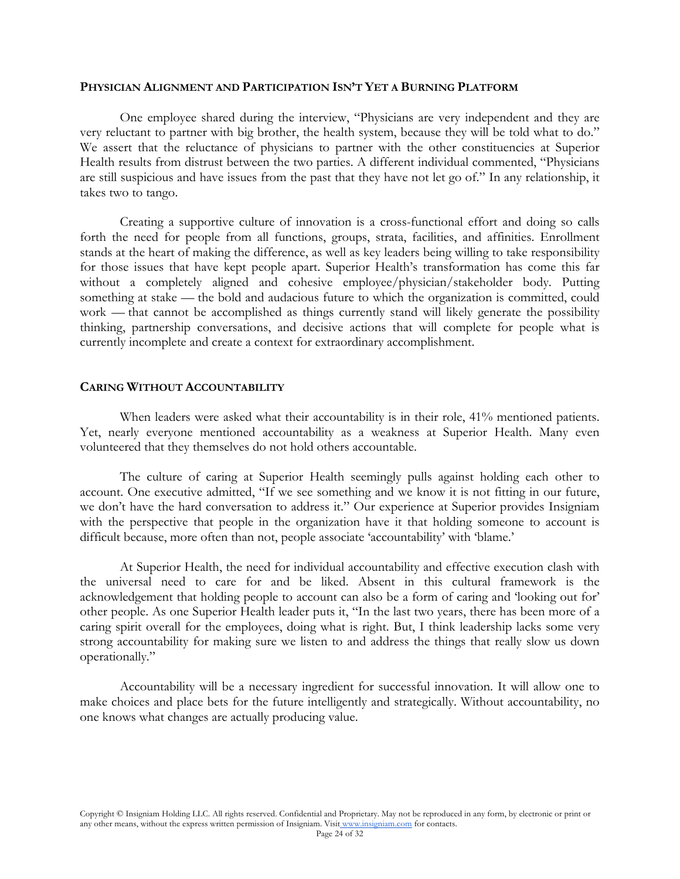#### **PHYSICIAN ALIGNMENT AND PARTICIPATION ISN'T YET A BURNING PLATFORM**

One employee shared during the interview, "Physicians are very independent and they are very reluctant to partner with big brother, the health system, because they will be told what to do." We assert that the reluctance of physicians to partner with the other constituencies at Superior Health results from distrust between the two parties. A different individual commented, "Physicians are still suspicious and have issues from the past that they have not let go of." In any relationship, it takes two to tango.

Creating a supportive culture of innovation is a cross-functional effort and doing so calls forth the need for people from all functions, groups, strata, facilities, and affinities. Enrollment stands at the heart of making the difference, as well as key leaders being willing to take responsibility for those issues that have kept people apart. Superior Health's transformation has come this far without a completely aligned and cohesive employee/physician/stakeholder body. Putting something at stake — the bold and audacious future to which the organization is committed, could work — that cannot be accomplished as things currently stand will likely generate the possibility thinking, partnership conversations, and decisive actions that will complete for people what is currently incomplete and create a context for extraordinary accomplishment.

#### **CARING WITHOUT ACCOUNTABILITY**

When leaders were asked what their accountability is in their role, 41% mentioned patients. Yet, nearly everyone mentioned accountability as a weakness at Superior Health. Many even volunteered that they themselves do not hold others accountable.

The culture of caring at Superior Health seemingly pulls against holding each other to account. One executive admitted, "If we see something and we know it is not fitting in our future, we don't have the hard conversation to address it." Our experience at Superior provides Insigniam with the perspective that people in the organization have it that holding someone to account is difficult because, more often than not, people associate 'accountability' with 'blame.'

At Superior Health, the need for individual accountability and effective execution clash with the universal need to care for and be liked. Absent in this cultural framework is the acknowledgement that holding people to account can also be a form of caring and 'looking out for' other people. As one Superior Health leader puts it, "In the last two years, there has been more of a caring spirit overall for the employees, doing what is right. But, I think leadership lacks some very strong accountability for making sure we listen to and address the things that really slow us down operationally."

Accountability will be a necessary ingredient for successful innovation. It will allow one to make choices and place bets for the future intelligently and strategically. Without accountability, no one knows what changes are actually producing value.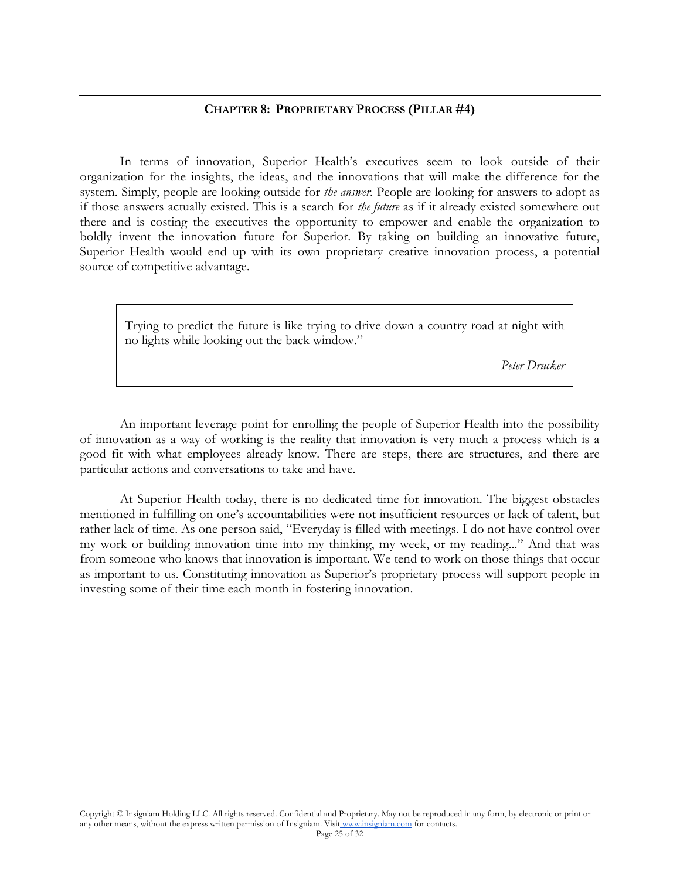#### **CHAPTER 8: PROPRIETARY PROCESS (PILLAR #4)**

In terms of innovation, Superior Health's executives seem to look outside of their organization for the insights, the ideas, and the innovations that will make the difference for the system. Simply, people are looking outside for *the answer*. People are looking for answers to adopt as if those answers actually existed. This is a search for *the future* as if it already existed somewhere out there and is costing the executives the opportunity to empower and enable the organization to boldly invent the innovation future for Superior. By taking on building an innovative future, Superior Health would end up with its own proprietary creative innovation process, a potential source of competitive advantage.

Trying to predict the future is like trying to drive down a country road at night with no lights while looking out the back window."

*Peter Drucker*

An important leverage point for enrolling the people of Superior Health into the possibility of innovation as a way of working is the reality that innovation is very much a process which is a good fit with what employees already know. There are steps, there are structures, and there are particular actions and conversations to take and have.

At Superior Health today, there is no dedicated time for innovation. The biggest obstacles mentioned in fulfilling on one's accountabilities were not insufficient resources or lack of talent, but rather lack of time. As one person said, "Everyday is filled with meetings. I do not have control over my work or building innovation time into my thinking, my week, or my reading..." And that was from someone who knows that innovation is important. We tend to work on those things that occur as important to us. Constituting innovation as Superior's proprietary process will support people in investing some of their time each month in fostering innovation.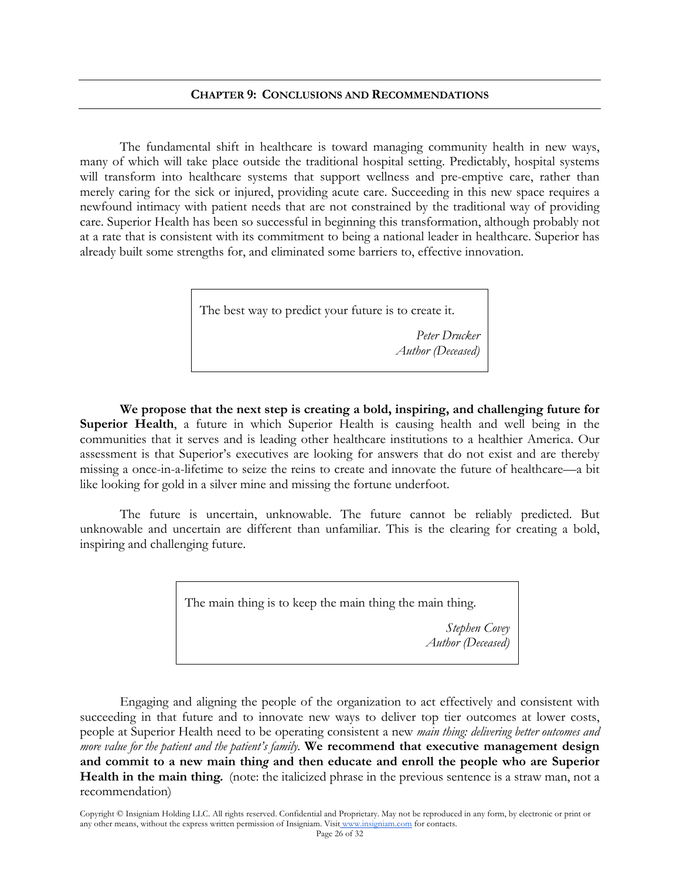#### **CHAPTER 9: CONCLUSIONS AND RECOMMENDATIONS**

The fundamental shift in healthcare is toward managing community health in new ways, many of which will take place outside the traditional hospital setting. Predictably, hospital systems will transform into healthcare systems that support wellness and pre-emptive care, rather than merely caring for the sick or injured, providing acute care. Succeeding in this new space requires a newfound intimacy with patient needs that are not constrained by the traditional way of providing care. Superior Health has been so successful in beginning this transformation, although probably not at a rate that is consistent with its commitment to being a national leader in healthcare. Superior has already built some strengths for, and eliminated some barriers to, effective innovation.

The best way to predict your future is to create it.

*Peter Drucker Author (Deceased)*

**We propose that the next step is creating a bold, inspiring, and challenging future for Superior Health**, a future in which Superior Health is causing health and well being in the communities that it serves and is leading other healthcare institutions to a healthier America. Our assessment is that Superior's executives are looking for answers that do not exist and are thereby missing a once-in-a-lifetime to seize the reins to create and innovate the future of healthcare—a bit like looking for gold in a silver mine and missing the fortune underfoot.

The future is uncertain, unknowable. The future cannot be reliably predicted. But unknowable and uncertain are different than unfamiliar. This is the clearing for creating a bold, inspiring and challenging future.

The main thing is to keep the main thing the main thing.

*Stephen Covey Author (Deceased)*

Engaging and aligning the people of the organization to act effectively and consistent with succeeding in that future and to innovate new ways to deliver top tier outcomes at lower costs, people at Superior Health need to be operating consistent a new *main thing: delivering better outcomes and more value for the patient and the patient's family.* **We recommend that executive management design and commit to a new main thin***g* **and then educate and enroll the people who are Superior Health in the main thing***.* (note: the italicized phrase in the previous sentence is a straw man, not a recommendation)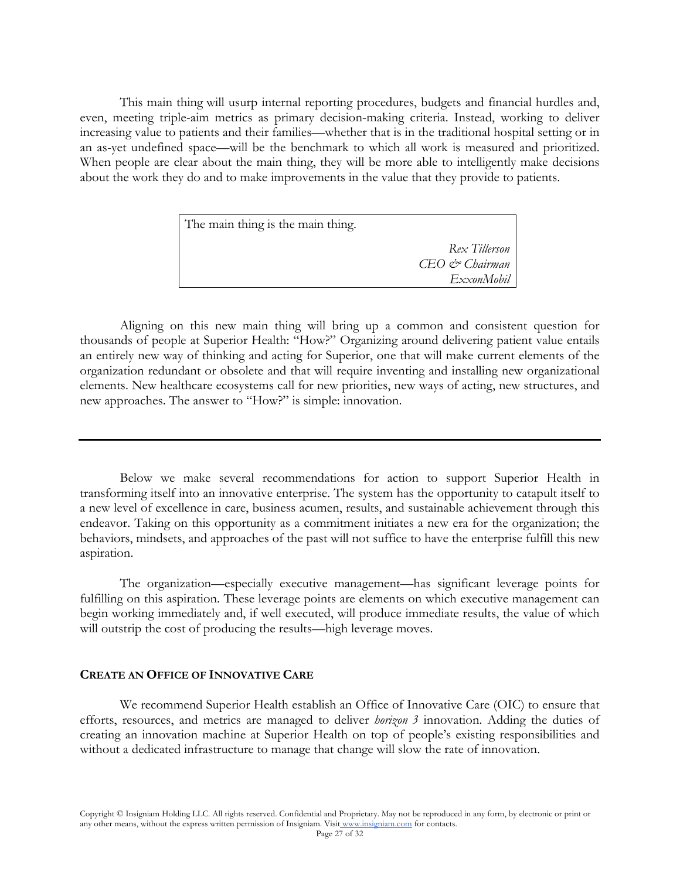This main thing will usurp internal reporting procedures, budgets and financial hurdles and, even, meeting triple-aim metrics as primary decision-making criteria. Instead, working to deliver increasing value to patients and their families—whether that is in the traditional hospital setting or in an as-yet undefined space—will be the benchmark to which all work is measured and prioritized. When people are clear about the main thing, they will be more able to intelligently make decisions about the work they do and to make improvements in the value that they provide to patients.

| The main thing is the main thing. |                                             |
|-----------------------------------|---------------------------------------------|
|                                   | Rex Tillerson<br>$E_O \mathcal{O}$ Chairman |
|                                   | ExxonMobil                                  |

Aligning on this new main thing will bring up a common and consistent question for thousands of people at Superior Health: "How?" Organizing around delivering patient value entails an entirely new way of thinking and acting for Superior, one that will make current elements of the organization redundant or obsolete and that will require inventing and installing new organizational elements. New healthcare ecosystems call for new priorities, new ways of acting, new structures, and new approaches. The answer to "How?" is simple: innovation.

Below we make several recommendations for action to support Superior Health in transforming itself into an innovative enterprise. The system has the opportunity to catapult itself to a new level of excellence in care, business acumen, results, and sustainable achievement through this endeavor. Taking on this opportunity as a commitment initiates a new era for the organization; the behaviors, mindsets, and approaches of the past will not suffice to have the enterprise fulfill this new aspiration.

The organization—especially executive management—has significant leverage points for fulfilling on this aspiration. These leverage points are elements on which executive management can begin working immediately and, if well executed, will produce immediate results, the value of which will outstrip the cost of producing the results—high leverage moves.

### **CREATE AN OFFICE OF INNOVATIVE CARE**

We recommend Superior Health establish an Office of Innovative Care (OIC) to ensure that efforts, resources, and metrics are managed to deliver *horizon 3* innovation. Adding the duties of creating an innovation machine at Superior Health on top of people's existing responsibilities and without a dedicated infrastructure to manage that change will slow the rate of innovation.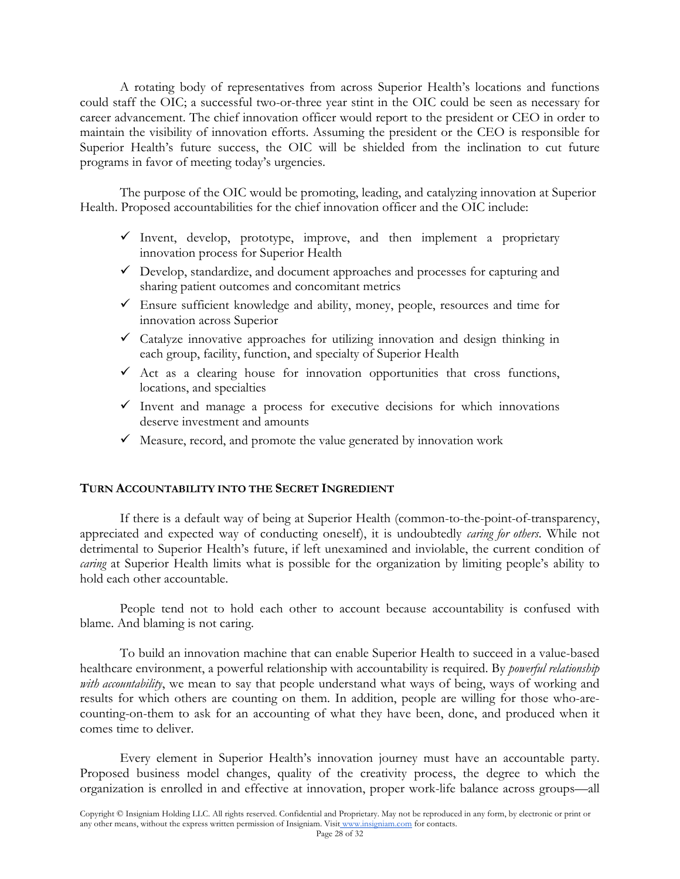A rotating body of representatives from across Superior Health's locations and functions could staff the OIC; a successful two-or-three year stint in the OIC could be seen as necessary for career advancement. The chief innovation officer would report to the president or CEO in order to maintain the visibility of innovation efforts. Assuming the president or the CEO is responsible for Superior Health's future success, the OIC will be shielded from the inclination to cut future programs in favor of meeting today's urgencies.

The purpose of the OIC would be promoting, leading, and catalyzing innovation at Superior Health. Proposed accountabilities for the chief innovation officer and the OIC include:

- $\checkmark$  Invent, develop, prototype, improve, and then implement a proprietary innovation process for Superior Health
- $\checkmark$  Develop, standardize, and document approaches and processes for capturing and sharing patient outcomes and concomitant metrics
- $\checkmark$  Ensure sufficient knowledge and ability, money, people, resources and time for innovation across Superior
- $\checkmark$  Catalyze innovative approaches for utilizing innovation and design thinking in each group, facility, function, and specialty of Superior Health
- $\checkmark$  Act as a clearing house for innovation opportunities that cross functions, locations, and specialties
- $\checkmark$  Invent and manage a process for executive decisions for which innovations deserve investment and amounts
- $\checkmark$  Measure, record, and promote the value generated by innovation work

# **TURN ACCOUNTABILITY INTO THE SECRET INGREDIENT**

If there is a default way of being at Superior Health (common-to-the-point-of-transparency, appreciated and expected way of conducting oneself), it is undoubtedly *caring for others*. While not detrimental to Superior Health's future, if left unexamined and inviolable, the current condition of *caring* at Superior Health limits what is possible for the organization by limiting people's ability to hold each other accountable.

People tend not to hold each other to account because accountability is confused with blame. And blaming is not caring.

To build an innovation machine that can enable Superior Health to succeed in a value-based healthcare environment, a powerful relationship with accountability is required. By *powerful relationship*  with accountability, we mean to say that people understand what ways of being, ways of working and results for which others are counting on them. In addition, people are willing for those who-arecounting-on-them to ask for an accounting of what they have been, done, and produced when it comes time to deliver.

Every element in Superior Health's innovation journey must have an accountable party. Proposed business model changes, quality of the creativity process, the degree to which the organization is enrolled in and effective at innovation, proper work-life balance across groups—all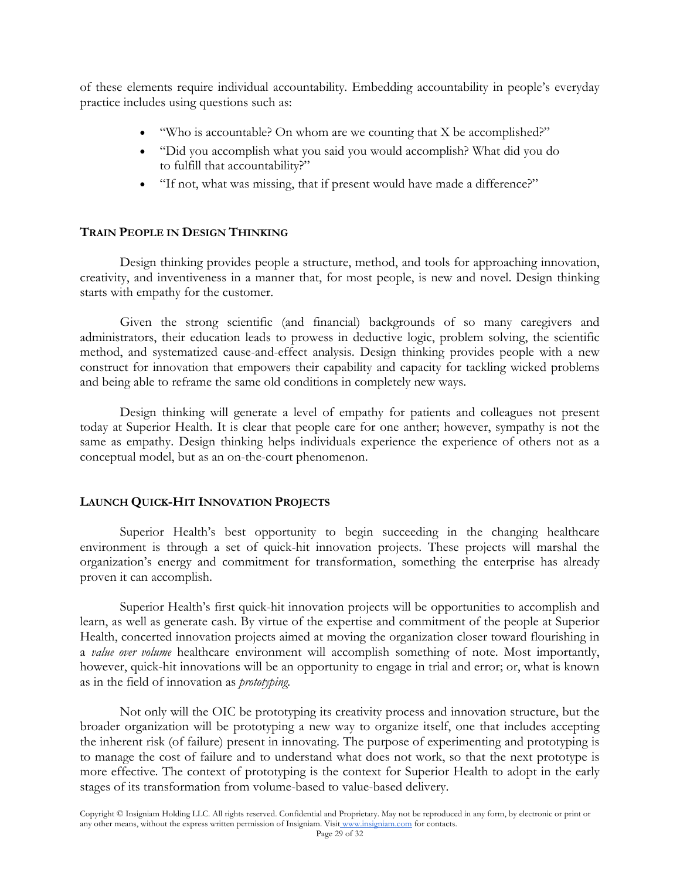of these elements require individual accountability. Embedding accountability in people's everyday practice includes using questions such as:

- "Who is accountable? On whom are we counting that X be accomplished?"
- "Did you accomplish what you said you would accomplish? What did you do to fulfill that accountability?"
- "If not, what was missing, that if present would have made a difference?"

# **TRAIN PEOPLE IN DESIGN THINKING**

Design thinking provides people a structure, method, and tools for approaching innovation, creativity, and inventiveness in a manner that, for most people, is new and novel. Design thinking starts with empathy for the customer.

Given the strong scientific (and financial) backgrounds of so many caregivers and administrators, their education leads to prowess in deductive logic, problem solving, the scientific method, and systematized cause-and-effect analysis. Design thinking provides people with a new construct for innovation that empowers their capability and capacity for tackling wicked problems and being able to reframe the same old conditions in completely new ways.

Design thinking will generate a level of empathy for patients and colleagues not present today at Superior Health. It is clear that people care for one anther; however, sympathy is not the same as empathy. Design thinking helps individuals experience the experience of others not as a conceptual model, but as an on-the-court phenomenon.

# **LAUNCH QUICK-HIT INNOVATION PROJECTS**

Superior Health's best opportunity to begin succeeding in the changing healthcare environment is through a set of quick-hit innovation projects. These projects will marshal the organization's energy and commitment for transformation, something the enterprise has already proven it can accomplish.

Superior Health's first quick-hit innovation projects will be opportunities to accomplish and learn, as well as generate cash. By virtue of the expertise and commitment of the people at Superior Health, concerted innovation projects aimed at moving the organization closer toward flourishing in a *value over volume* healthcare environment will accomplish something of note. Most importantly, however, quick-hit innovations will be an opportunity to engage in trial and error; or, what is known as in the field of innovation as *prototyping.*

Not only will the OIC be prototyping its creativity process and innovation structure, but the broader organization will be prototyping a new way to organize itself, one that includes accepting the inherent risk (of failure) present in innovating. The purpose of experimenting and prototyping is to manage the cost of failure and to understand what does not work, so that the next prototype is more effective. The context of prototyping is the context for Superior Health to adopt in the early stages of its transformation from volume-based to value-based delivery.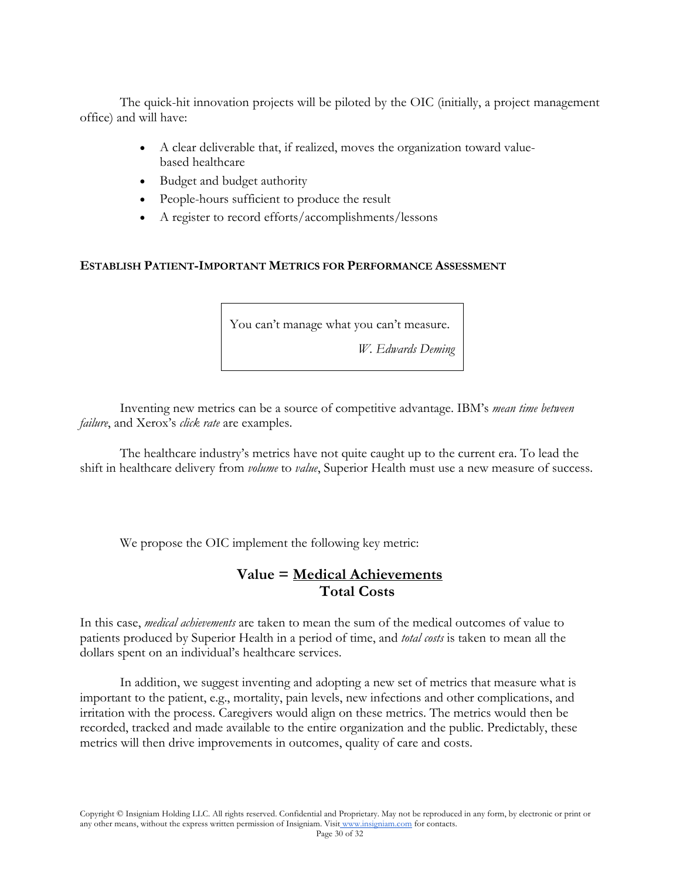The quick-hit innovation projects will be piloted by the OIC (initially, a project management office) and will have:

- A clear deliverable that, if realized, moves the organization toward valuebased healthcare
- Budget and budget authority
- People-hours sufficient to produce the result
- A register to record efforts/accomplishments/lessons

# **ESTABLISH PATIENT-IMPORTANT METRICS FOR PERFORMANCE ASSESSMENT**

You can't manage what you can't measure.

*W. Edwards Deming*

Inventing new metrics can be a source of competitive advantage. IBM's *mean time between failure*, and Xerox's *click rate* are examples.

The healthcare industry's metrics have not quite caught up to the current era. To lead the shift in healthcare delivery from *volume* to *value*, Superior Health must use a new measure of success.

We propose the OIC implement the following key metric:

# **Value = Medical Achievements Total Costs**

In this case, *medical achievements* are taken to mean the sum of the medical outcomes of value to patients produced by Superior Health in a period of time, and *total costs* is taken to mean all the dollars spent on an individual's healthcare services.

In addition, we suggest inventing and adopting a new set of metrics that measure what is important to the patient, e.g., mortality, pain levels, new infections and other complications, and irritation with the process. Caregivers would align on these metrics. The metrics would then be recorded, tracked and made available to the entire organization and the public. Predictably, these metrics will then drive improvements in outcomes, quality of care and costs.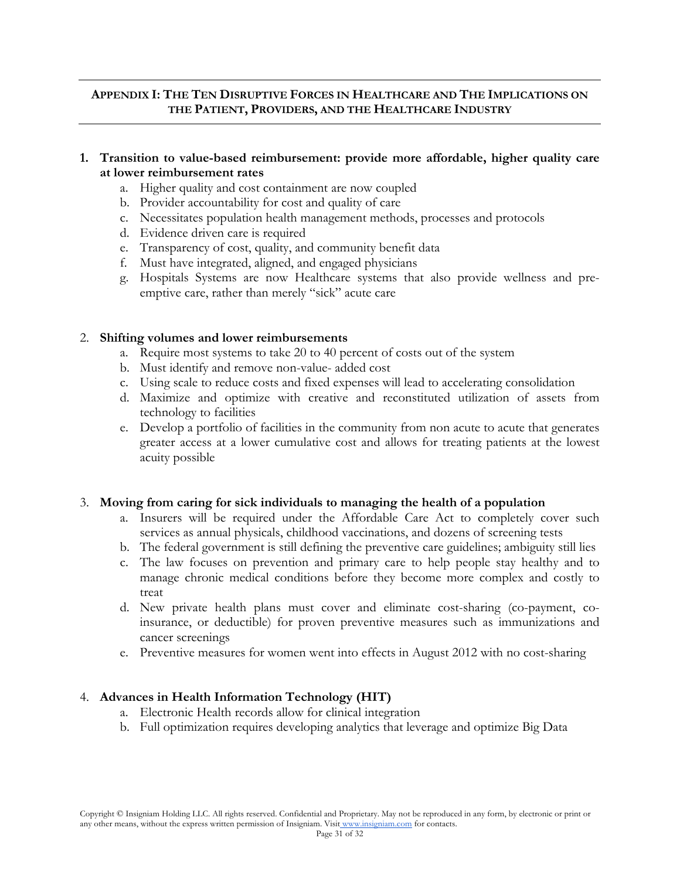# **APPENDIX I: THE TEN DISRUPTIVE FORCES IN HEALTHCARE AND THE IMPLICATIONS ON THE PATIENT, PROVIDERS, AND THE HEALTHCARE INDUSTRY**

# **1. Transition to value-based reimbursement: provide more affordable, higher quality care at lower reimbursement rates**

- a. Higher quality and cost containment are now coupled
- b. Provider accountability for cost and quality of care
- c. Necessitates population health management methods, processes and protocols
- d. Evidence driven care is required
- e. Transparency of cost, quality, and community benefit data
- f. Must have integrated, aligned, and engaged physicians
- g. Hospitals Systems are now Healthcare systems that also provide wellness and preemptive care, rather than merely "sick" acute care

# 2. **Shifting volumes and lower reimbursements**

- a. Require most systems to take 20 to 40 percent of costs out of the system
- b. Must identify and remove non-value- added cost
- c. Using scale to reduce costs and fixed expenses will lead to accelerating consolidation
- d. Maximize and optimize with creative and reconstituted utilization of assets from technology to facilities
- e. Develop a portfolio of facilities in the community from non acute to acute that generates greater access at a lower cumulative cost and allows for treating patients at the lowest acuity possible

### 3. **Moving from caring for sick individuals to managing the health of a population**

- a. Insurers will be required under the Affordable Care Act to completely cover such services as annual physicals, childhood vaccinations, and dozens of screening tests
- b. The federal government is still defining the preventive care guidelines; ambiguity still lies
- c. The law focuses on prevention and primary care to help people stay healthy and to manage chronic medical conditions before they become more complex and costly to treat
- d. New private health plans must cover and eliminate cost-sharing (co-payment, coinsurance, or deductible) for proven preventive measures such as immunizations and cancer screenings
- e. Preventive measures for women went into effects in August 2012 with no cost-sharing

### 4. **Advances in Health Information Technology (HIT)**

- a. Electronic Health records allow for clinical integration
- b. Full optimization requires developing analytics that leverage and optimize Big Data